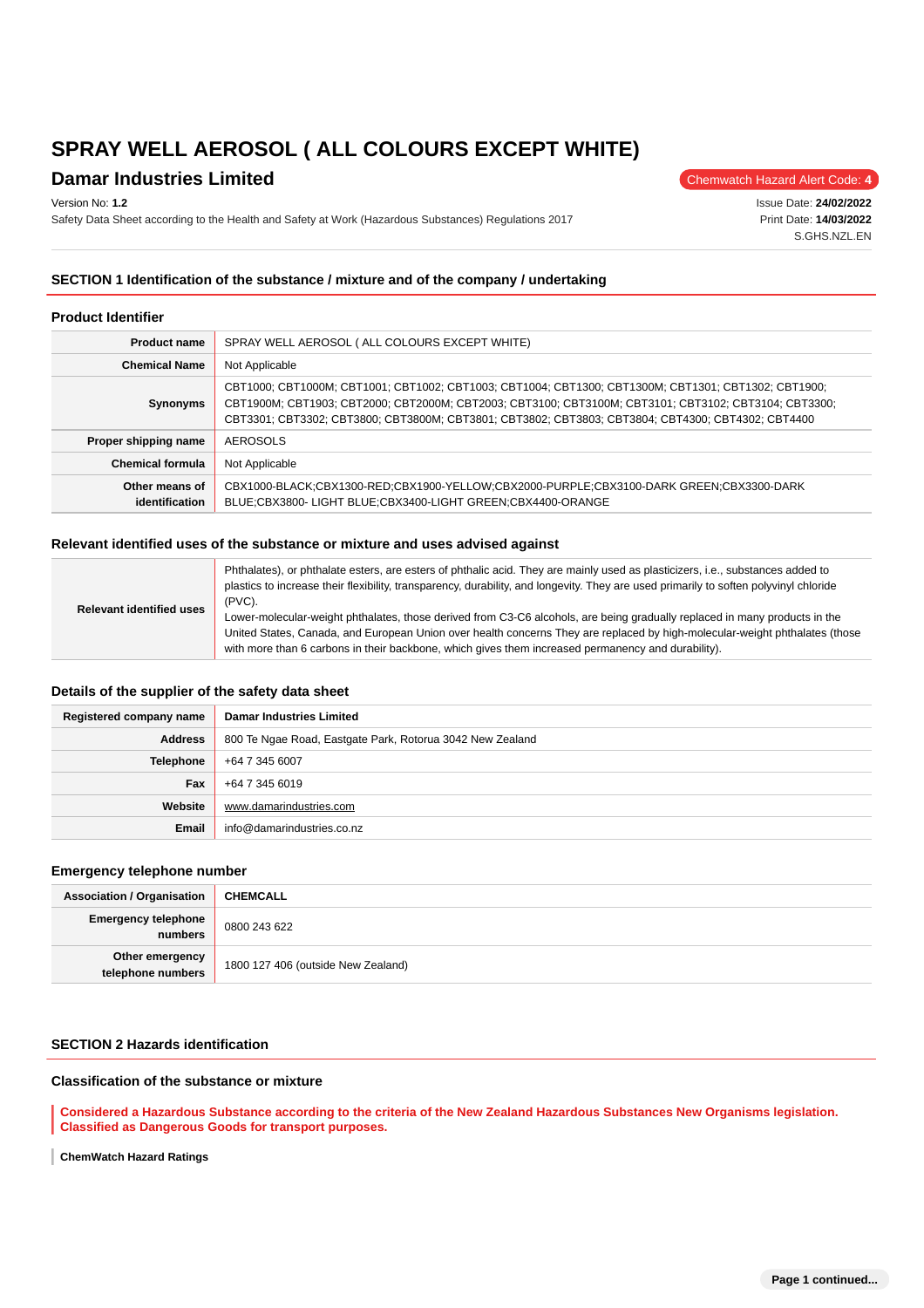## **Damar Industries Limited** Chemwatch Hazard Alert Code: 4

Version No: **1.2**

Safety Data Sheet according to the Health and Safety at Work (Hazardous Substances) Regulations 2017

Issue Date: **24/02/2022** Print Date: **14/03/2022** S.GHS.NZL.EN

## **SECTION 1 Identification of the substance / mixture and of the company / undertaking**

#### **Product Identifier**

| <b>Product name</b>                                                                                                                                                                       | SPRAY WELL AEROSOL (ALL COLOURS EXCEPT WHITE)                                                                                                                                                                                                                                                                       |  |  |
|-------------------------------------------------------------------------------------------------------------------------------------------------------------------------------------------|---------------------------------------------------------------------------------------------------------------------------------------------------------------------------------------------------------------------------------------------------------------------------------------------------------------------|--|--|
| <b>Chemical Name</b>                                                                                                                                                                      | Not Applicable                                                                                                                                                                                                                                                                                                      |  |  |
| Synonyms                                                                                                                                                                                  | CBT1000; CBT1000M; CBT1001; CBT1002; CBT1003; CBT1004; CBT1300; CBT1300M; CBT1301; CBT1302; CBT1900;<br>CBT1900M; CBT1903; CBT2000; CBT2000M; CBT2003; CBT3100; CBT3100M; CBT3101; CBT3102; CBT3104; CBT3300;<br>CBT3301; CBT3302; CBT3800; CBT3800M; CBT3801; CBT3802; CBT3803; CBT3804; CBT4300; CBT4302; CBT4400 |  |  |
| Proper shipping name                                                                                                                                                                      | AEROSOLS                                                                                                                                                                                                                                                                                                            |  |  |
| <b>Chemical formula</b>                                                                                                                                                                   | Not Applicable                                                                                                                                                                                                                                                                                                      |  |  |
| Other means of<br>CBX1000-BLACK;CBX1300-RED;CBX1900-YELLOW;CBX2000-PURPLE;CBX3100-DARK GREEN;CBX3300-DARK<br>BLUE;CBX3800-LIGHT BLUE;CBX3400-LIGHT GREEN;CBX4400-ORANGE<br>identification |                                                                                                                                                                                                                                                                                                                     |  |  |

#### **Relevant identified uses of the substance or mixture and uses advised against**

| <b>Relevant identified uses</b> | Phthalates), or phthalate esters, are esters of phthalic acid. They are mainly used as plasticizers, i.e., substances added to<br>plastics to increase their flexibility, transparency, durability, and longevity. They are used primarily to soften polyvinyl chloride<br>$(PVC)$ .                                                                            |  |
|---------------------------------|-----------------------------------------------------------------------------------------------------------------------------------------------------------------------------------------------------------------------------------------------------------------------------------------------------------------------------------------------------------------|--|
|                                 | Lower-molecular-weight phthalates, those derived from C3-C6 alcohols, are being gradually replaced in many products in the<br>United States, Canada, and European Union over health concerns They are replaced by high-molecular-weight phthalates (those<br>with more than 6 carbons in their backbone, which gives them increased permanency and durability). |  |
|                                 |                                                                                                                                                                                                                                                                                                                                                                 |  |

#### **Details of the supplier of the safety data sheet**

| Registered company name | <b>Damar Industries Limited</b>                           |  |  |
|-------------------------|-----------------------------------------------------------|--|--|
| <b>Address</b>          | 800 Te Ngae Road, Eastgate Park, Rotorua 3042 New Zealand |  |  |
| Telephone               | +64 7 345 6007                                            |  |  |
| Fax                     | +64 7 345 6019                                            |  |  |
| Website                 | www.damarindustries.com                                   |  |  |
| Email                   | info@damarindustries.co.nz                                |  |  |

#### **Emergency telephone number**

| <b>Association / Organisation</b>                                          | <b>CHEMCALL</b> |  |
|----------------------------------------------------------------------------|-----------------|--|
| <b>Emergency telephone</b><br>numbers                                      | 0800 243 622    |  |
| Other emergency<br>telephone numbers<br>1800 127 406 (outside New Zealand) |                 |  |

## **SECTION 2 Hazards identification**

## **Classification of the substance or mixture**

**Considered a Hazardous Substance according to the criteria of the New Zealand Hazardous Substances New Organisms legislation. Classified as Dangerous Goods for transport purposes.**

**ChemWatch Hazard Ratings** ı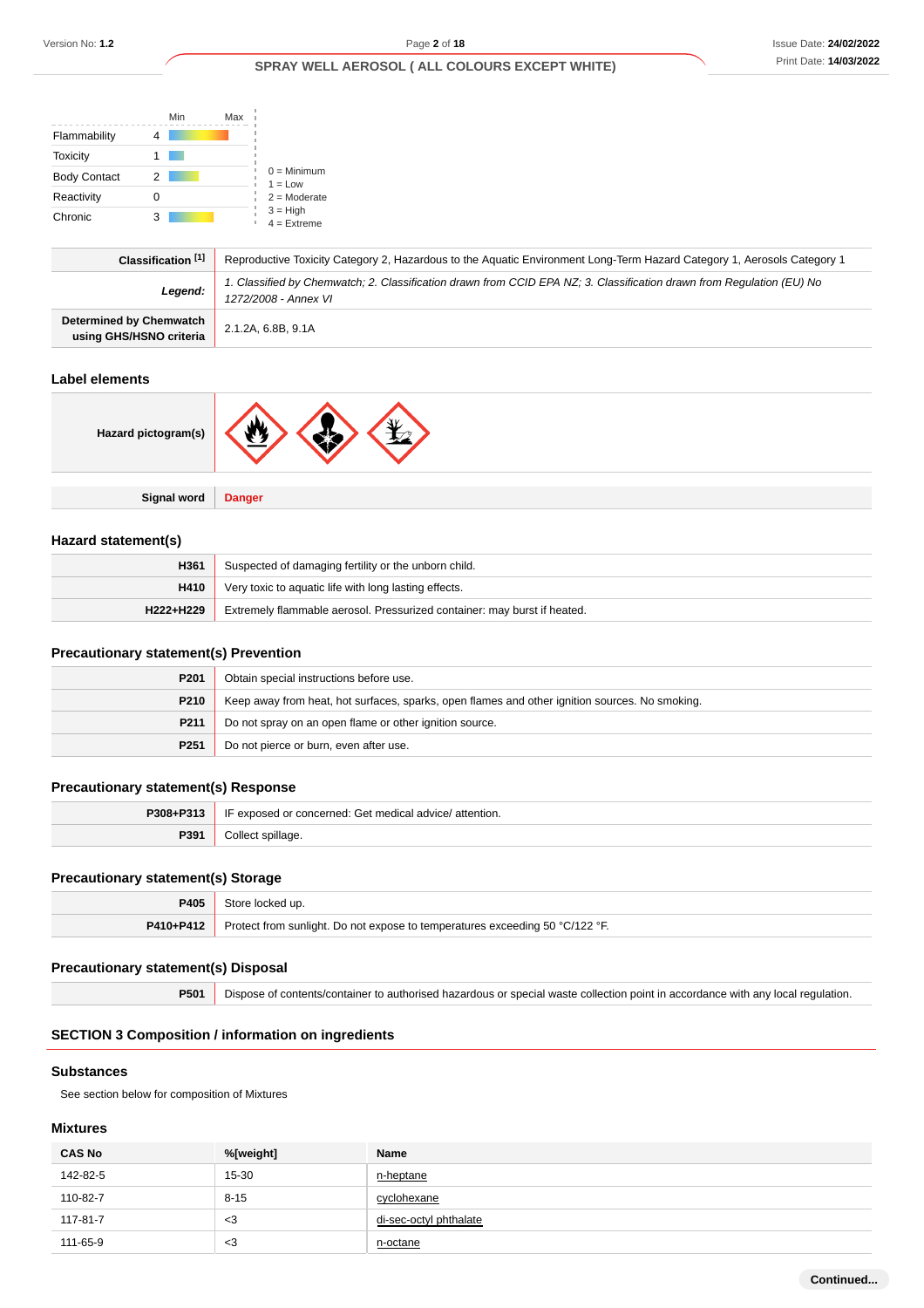|                                                           | Min         | Max                                                                                                                                           |
|-----------------------------------------------------------|-------------|-----------------------------------------------------------------------------------------------------------------------------------------------|
| Flammability                                              | 4           |                                                                                                                                               |
| Toxicity                                                  |             |                                                                                                                                               |
| <b>Body Contact</b>                                       | 2           | $0 =$ Minimum<br>$1 = Low$                                                                                                                    |
| Reactivity                                                | $\mathbf 0$ | $2 =$ Moderate                                                                                                                                |
| Chronic                                                   | 3           | $3 = High$<br>$4 =$ Extreme                                                                                                                   |
| Classification [1]                                        |             | Reproductive Toxicity Category 2, Hazardous to the Aquatic Environment Long-Term Hazard Category 1, Aerosols Category 1                       |
|                                                           | Legend:     | 1. Classified by Chemwatch; 2. Classification drawn from CCID EPA NZ; 3. Classification drawn from Regulation (EU) No<br>1272/2008 - Annex VI |
| <b>Determined by Chemwatch</b><br>using GHS/HSNO criteria |             | 2.1.2A, 6.8B, 9.1A                                                                                                                            |

#### **Label elements**

| Hazard pictogram(s) | YK<br>w       |
|---------------------|---------------|
|                     |               |
| <b>Signal word</b>  | <b>Danger</b> |

## **Hazard statement(s)**

| H361                                                                                  | Suspected of damaging fertility or the unborn child.  |  |
|---------------------------------------------------------------------------------------|-------------------------------------------------------|--|
| H410                                                                                  | Very toxic to aquatic life with long lasting effects. |  |
| Extremely flammable aerosol. Pressurized container: may burst if heated.<br>H222+H229 |                                                       |  |

## **Precautionary statement(s) Prevention**

| P <sub>201</sub>                                           | Obtain special instructions before use.                                                        |  |
|------------------------------------------------------------|------------------------------------------------------------------------------------------------|--|
| P210                                                       | Keep away from heat, hot surfaces, sparks, open flames and other ignition sources. No smoking. |  |
| P <sub>211</sub>                                           | Do not spray on an open flame or other ignition source.                                        |  |
| Do not pierce or burn, even after use.<br>P <sub>251</sub> |                                                                                                |  |

## **Precautionary statement(s) Response**

| P308+P313 | IF exposed or concerned: Get medical advice/attention. |  |
|-----------|--------------------------------------------------------|--|
| P391      | ∵epillage.                                             |  |

## **Precautionary statement(s) Storage**

| P405                                                                                      | Store locked up. |  |
|-------------------------------------------------------------------------------------------|------------------|--|
| P410+P412<br>Protect from sunlight. Do not expose to temperatures exceeding 50 °C/122 °F. |                  |  |

## **Precautionary statement(s) Disposal**

**P501** Dispose of contents/container to authorised hazardous or special waste collection point in accordance with any local regulation.

## **SECTION 3 Composition / information on ingredients**

#### **Substances**

See section below for composition of Mixtures

## **Mixtures**

| <b>CAS No</b> | %[weight] | Name                   |
|---------------|-----------|------------------------|
| 142-82-5      | 15-30     | n-heptane              |
| 110-82-7      | $8 - 15$  | cyclohexane            |
| 117-81-7      | $<$ 3     | di-sec-octyl phthalate |
| 111-65-9      | $<$ 3     | n-octane               |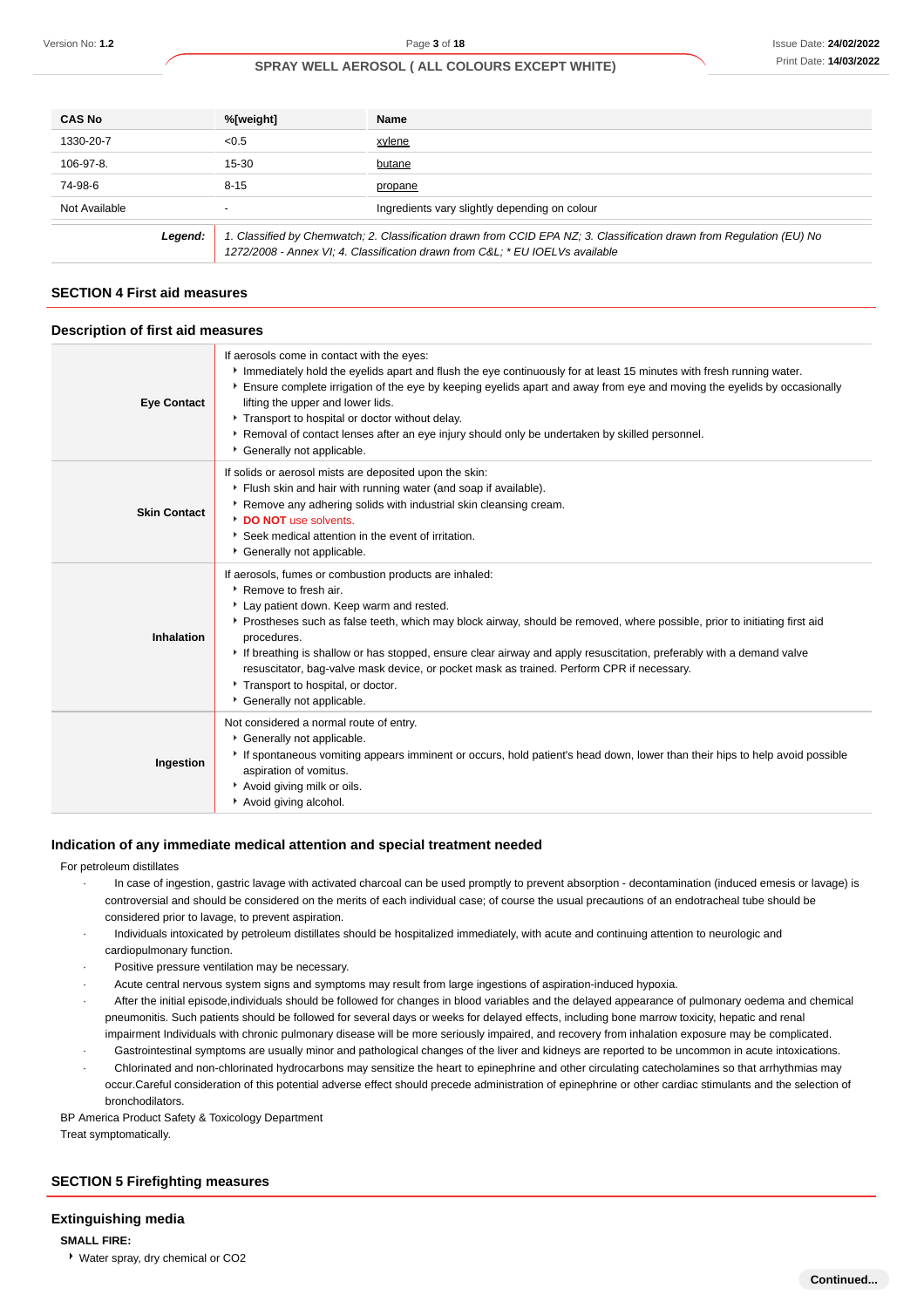| <b>CAS No</b>                                                                                                                                                                                                    | %[weight] | Name                                          |
|------------------------------------------------------------------------------------------------------------------------------------------------------------------------------------------------------------------|-----------|-----------------------------------------------|
| 1330-20-7                                                                                                                                                                                                        | < 0.5     | xylene                                        |
| 106-97-8.                                                                                                                                                                                                        | 15-30     | butane                                        |
| 74-98-6                                                                                                                                                                                                          | $8 - 15$  | propane                                       |
| Not Available                                                                                                                                                                                                    |           | Ingredients vary slightly depending on colour |
| 1. Classified by Chemwatch; 2. Classification drawn from CCID EPA NZ; 3. Classification drawn from Regulation (EU) No<br>Legend:<br>1272/2008 - Annex VI; 4. Classification drawn from C&L * EU IOELVs available |           |                                               |

## **SECTION 4 First aid measures**

#### **Description of first aid measures**

| <b>Eye Contact</b>  | If aerosols come in contact with the eyes:<br>Immediately hold the eyelids apart and flush the eye continuously for at least 15 minutes with fresh running water.<br>Ensure complete irrigation of the eye by keeping eyelids apart and away from eye and moving the eyelids by occasionally<br>lifting the upper and lower lids.<br>Transport to hospital or doctor without delay.<br>▶ Removal of contact lenses after an eye injury should only be undertaken by skilled personnel.<br>Generally not applicable.                                          |
|---------------------|--------------------------------------------------------------------------------------------------------------------------------------------------------------------------------------------------------------------------------------------------------------------------------------------------------------------------------------------------------------------------------------------------------------------------------------------------------------------------------------------------------------------------------------------------------------|
| <b>Skin Contact</b> | If solids or aerosol mists are deposited upon the skin:<br>Flush skin and hair with running water (and soap if available).<br>Remove any adhering solids with industrial skin cleansing cream.<br>DO NOT use solvents.<br>Seek medical attention in the event of irritation.<br>Generally not applicable.                                                                                                                                                                                                                                                    |
| Inhalation          | If aerosols, fumes or combustion products are inhaled:<br>▶ Remove to fresh air.<br>Lay patient down. Keep warm and rested.<br>Prostheses such as false teeth, which may block airway, should be removed, where possible, prior to initiating first aid<br>procedures.<br>If breathing is shallow or has stopped, ensure clear airway and apply resuscitation, preferably with a demand valve<br>resuscitator, bag-valve mask device, or pocket mask as trained. Perform CPR if necessary.<br>Transport to hospital, or doctor.<br>Generally not applicable. |
| Ingestion           | Not considered a normal route of entry.<br>* Generally not applicable.<br>If spontaneous vomiting appears imminent or occurs, hold patient's head down, lower than their hips to help avoid possible<br>aspiration of vomitus.<br>Avoid giving milk or oils.<br>Avoid giving alcohol.                                                                                                                                                                                                                                                                        |

#### **Indication of any immediate medical attention and special treatment needed**

#### For petroleum distillates

- · In case of ingestion, gastric lavage with activated charcoal can be used promptly to prevent absorption decontamination (induced emesis or lavage) is controversial and should be considered on the merits of each individual case; of course the usual precautions of an endotracheal tube should be considered prior to lavage, to prevent aspiration.
- · Individuals intoxicated by petroleum distillates should be hospitalized immediately, with acute and continuing attention to neurologic and cardiopulmonary function.
- Positive pressure ventilation may be necessary.
- Acute central nervous system signs and symptoms may result from large ingestions of aspiration-induced hypoxia.
- · After the initial episode,individuals should be followed for changes in blood variables and the delayed appearance of pulmonary oedema and chemical pneumonitis. Such patients should be followed for several days or weeks for delayed effects, including bone marrow toxicity, hepatic and renal impairment Individuals with chronic pulmonary disease will be more seriously impaired, and recovery from inhalation exposure may be complicated.
- Gastrointestinal symptoms are usually minor and pathological changes of the liver and kidneys are reported to be uncommon in acute intoxications.
- · Chlorinated and non-chlorinated hydrocarbons may sensitize the heart to epinephrine and other circulating catecholamines so that arrhythmias may occur.Careful consideration of this potential adverse effect should precede administration of epinephrine or other cardiac stimulants and the selection of bronchodilators.

BP America Product Safety & Toxicology Department

Treat symptomatically.

## **SECTION 5 Firefighting measures**

#### **Extinguishing media**

**SMALL FIRE:**

Water spray, dry chemical or CO2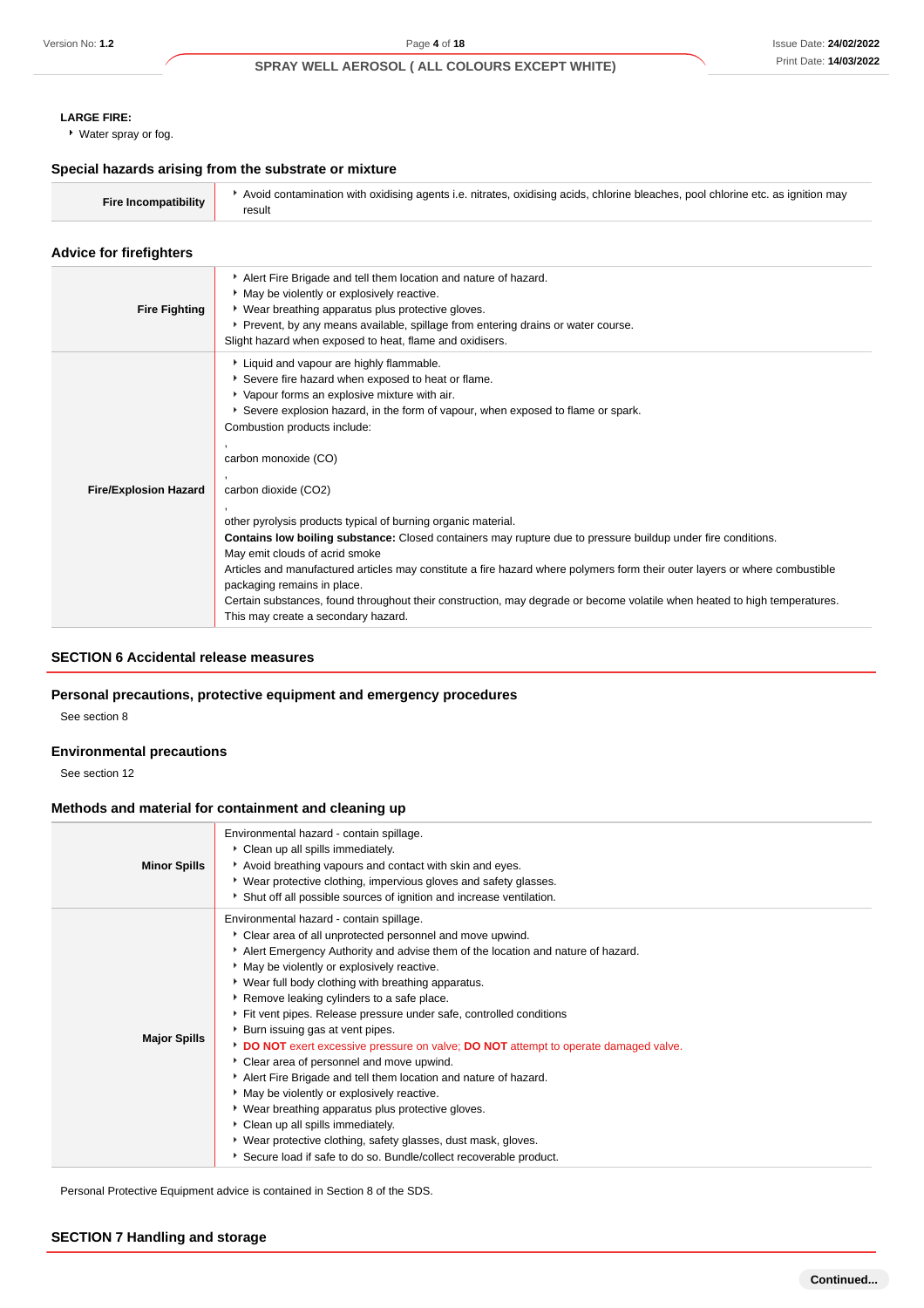## **LARGE FIRE:**

Water spray or fog.

#### **Special hazards arising from the substrate or mixture**

| Fire Incompatibility | Avoid contamination with oxidising agents i.e. nitrates, oxidising acids, chlorine bleaches, pool chlorine etc. as ignition may |
|----------------------|---------------------------------------------------------------------------------------------------------------------------------|
|                      |                                                                                                                                 |

#### **Advice for firefighters**

| <b>Fire Fighting</b>         | Alert Fire Brigade and tell them location and nature of hazard.<br>• May be violently or explosively reactive.<br>• Wear breathing apparatus plus protective gloves.<br>▶ Prevent, by any means available, spillage from entering drains or water course.<br>Slight hazard when exposed to heat, flame and oxidisers.                                                                                                                                                                                                                                                                                                                                                                                                                                                                                                                                                 |
|------------------------------|-----------------------------------------------------------------------------------------------------------------------------------------------------------------------------------------------------------------------------------------------------------------------------------------------------------------------------------------------------------------------------------------------------------------------------------------------------------------------------------------------------------------------------------------------------------------------------------------------------------------------------------------------------------------------------------------------------------------------------------------------------------------------------------------------------------------------------------------------------------------------|
| <b>Fire/Explosion Hazard</b> | Liquid and vapour are highly flammable.<br>Severe fire hazard when exposed to heat or flame.<br>• Vapour forms an explosive mixture with air.<br>Severe explosion hazard, in the form of vapour, when exposed to flame or spark.<br>Combustion products include:<br>carbon monoxide (CO)<br>carbon dioxide (CO2)<br>other pyrolysis products typical of burning organic material.<br>Contains low boiling substance: Closed containers may rupture due to pressure buildup under fire conditions.<br>May emit clouds of acrid smoke<br>Articles and manufactured articles may constitute a fire hazard where polymers form their outer layers or where combustible<br>packaging remains in place.<br>Certain substances, found throughout their construction, may degrade or become volatile when heated to high temperatures.<br>This may create a secondary hazard. |

## **SECTION 6 Accidental release measures**

## **Personal precautions, protective equipment and emergency procedures**

See section 8

## **Environmental precautions**

See section 12

## **Methods and material for containment and cleaning up**

| <b>Minor Spills</b> | Environmental hazard - contain spillage.<br>Clean up all spills immediately.<br>Avoid breathing vapours and contact with skin and eyes.<br>▶ Wear protective clothing, impervious gloves and safety glasses.<br>Shut off all possible sources of ignition and increase ventilation.                                                                                                                                                                                                                                                                                                                                                                                                                                                                                                                                                                                                                                                        |
|---------------------|--------------------------------------------------------------------------------------------------------------------------------------------------------------------------------------------------------------------------------------------------------------------------------------------------------------------------------------------------------------------------------------------------------------------------------------------------------------------------------------------------------------------------------------------------------------------------------------------------------------------------------------------------------------------------------------------------------------------------------------------------------------------------------------------------------------------------------------------------------------------------------------------------------------------------------------------|
| <b>Major Spills</b> | Environmental hazard - contain spillage.<br>Clear area of all unprotected personnel and move upwind.<br>Alert Emergency Authority and advise them of the location and nature of hazard.<br>• May be violently or explosively reactive.<br>• Wear full body clothing with breathing apparatus.<br>Remove leaking cylinders to a safe place.<br>Fit vent pipes. Release pressure under safe, controlled conditions<br>• Burn issuing gas at vent pipes.<br>DO NOT exert excessive pressure on valve; DO NOT attempt to operate damaged valve.<br>Clear area of personnel and move upwind.<br>Alert Fire Brigade and tell them location and nature of hazard.<br>• May be violently or explosively reactive.<br>• Wear breathing apparatus plus protective gloves.<br>Clean up all spills immediately.<br>• Wear protective clothing, safety glasses, dust mask, gloves.<br>Secure load if safe to do so. Bundle/collect recoverable product. |

Personal Protective Equipment advice is contained in Section 8 of the SDS.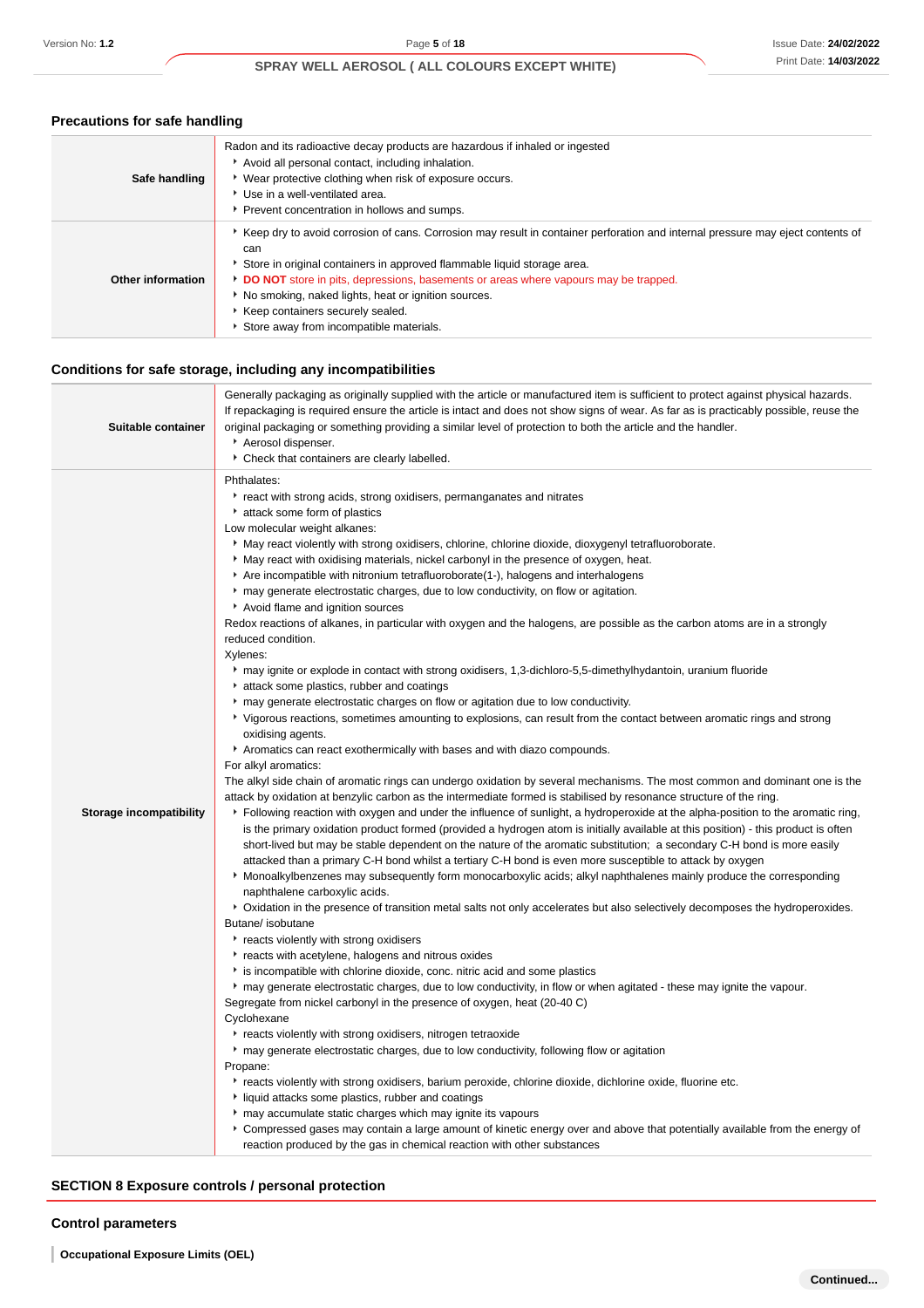## **Precautions for safe handling**

| Safe handling     | Radon and its radioactive decay products are hazardous if inhaled or ingested<br>Avoid all personal contact, including inhalation.<br>• Wear protective clothing when risk of exposure occurs.<br>▶ Use in a well-ventilated area.<br>Prevent concentration in hollows and sumps.                                                                                                                                                           |
|-------------------|---------------------------------------------------------------------------------------------------------------------------------------------------------------------------------------------------------------------------------------------------------------------------------------------------------------------------------------------------------------------------------------------------------------------------------------------|
| Other information | Example of the correction of cans. Corrosion may result in container perforation and internal pressure may eject contents of<br>can<br>Store in original containers in approved flammable liquid storage area.<br>DO NOT store in pits, depressions, basements or areas where vapours may be trapped.<br>No smoking, naked lights, heat or ignition sources.<br>Keep containers securely sealed.<br>Store away from incompatible materials. |

## **Conditions for safe storage, including any incompatibilities**

| Suitable container             | Generally packaging as originally supplied with the article or manufactured item is sufficient to protect against physical hazards.<br>If repackaging is required ensure the article is intact and does not show signs of wear. As far as is practicably possible, reuse the<br>original packaging or something providing a similar level of protection to both the article and the handler.<br>Aerosol dispenser.<br>Check that containers are clearly labelled.                                                                                                                                                                                                                                                                                                                                                                                                                                                                                                                                                                                                                                                                                                                                                                                                                                                                                                                                                                                                                                                                                                                                                                                                                                                                                                                                                                                                                                                                                                                                                                                                                                                                                                                                                                                                                                                                                                                                                                                                                                                                                                                                                                                                                                                                                                                                                                                                                                                                                                                                                                                                                                                                                                                                                                                                                                                                                    |
|--------------------------------|------------------------------------------------------------------------------------------------------------------------------------------------------------------------------------------------------------------------------------------------------------------------------------------------------------------------------------------------------------------------------------------------------------------------------------------------------------------------------------------------------------------------------------------------------------------------------------------------------------------------------------------------------------------------------------------------------------------------------------------------------------------------------------------------------------------------------------------------------------------------------------------------------------------------------------------------------------------------------------------------------------------------------------------------------------------------------------------------------------------------------------------------------------------------------------------------------------------------------------------------------------------------------------------------------------------------------------------------------------------------------------------------------------------------------------------------------------------------------------------------------------------------------------------------------------------------------------------------------------------------------------------------------------------------------------------------------------------------------------------------------------------------------------------------------------------------------------------------------------------------------------------------------------------------------------------------------------------------------------------------------------------------------------------------------------------------------------------------------------------------------------------------------------------------------------------------------------------------------------------------------------------------------------------------------------------------------------------------------------------------------------------------------------------------------------------------------------------------------------------------------------------------------------------------------------------------------------------------------------------------------------------------------------------------------------------------------------------------------------------------------------------------------------------------------------------------------------------------------------------------------------------------------------------------------------------------------------------------------------------------------------------------------------------------------------------------------------------------------------------------------------------------------------------------------------------------------------------------------------------------------------------------------------------------------------------------------------------------------|
| <b>Storage incompatibility</b> | Phthalates:<br>react with strong acids, strong oxidisers, permanganates and nitrates<br>attack some form of plastics<br>Low molecular weight alkanes:<br>May react violently with strong oxidisers, chlorine, chlorine dioxide, dioxygenyl tetrafluoroborate.<br>May react with oxidising materials, nickel carbonyl in the presence of oxygen, heat.<br>Are incompatible with nitronium tetrafluoroborate(1-), halogens and interhalogens<br>may generate electrostatic charges, due to low conductivity, on flow or agitation.<br>Avoid flame and ignition sources<br>Redox reactions of alkanes, in particular with oxygen and the halogens, are possible as the carbon atoms are in a strongly<br>reduced condition.<br>Xylenes:<br>may ignite or explode in contact with strong oxidisers, 1,3-dichloro-5,5-dimethylhydantoin, uranium fluoride<br>attack some plastics, rubber and coatings<br>may generate electrostatic charges on flow or agitation due to low conductivity.<br>Vigorous reactions, sometimes amounting to explosions, can result from the contact between aromatic rings and strong<br>oxidising agents.<br>Aromatics can react exothermically with bases and with diazo compounds.<br>For alkyl aromatics:<br>The alkyl side chain of aromatic rings can undergo oxidation by several mechanisms. The most common and dominant one is the<br>attack by oxidation at benzylic carbon as the intermediate formed is stabilised by resonance structure of the ring.<br>Following reaction with oxygen and under the influence of sunlight, a hydroperoxide at the alpha-position to the aromatic ring,<br>is the primary oxidation product formed (provided a hydrogen atom is initially available at this position) - this product is often<br>short-lived but may be stable dependent on the nature of the aromatic substitution; a secondary C-H bond is more easily<br>attacked than a primary C-H bond whilst a tertiary C-H bond is even more susceptible to attack by oxygen<br>• Monoalkylbenzenes may subsequently form monocarboxylic acids; alkyl naphthalenes mainly produce the corresponding<br>naphthalene carboxylic acids.<br>▶ Oxidation in the presence of transition metal salts not only accelerates but also selectively decomposes the hydroperoxides.<br>Butane/ isobutane<br>reacts violently with strong oxidisers<br>reacts with acetylene, halogens and nitrous oxides<br>is incompatible with chlorine dioxide, conc. nitric acid and some plastics<br>▶ may generate electrostatic charges, due to low conductivity, in flow or when agitated - these may ignite the vapour.<br>Segregate from nickel carbonyl in the presence of oxygen, heat (20-40 C)<br>Cyclohexane<br>reacts violently with strong oxidisers, nitrogen tetraoxide<br>may generate electrostatic charges, due to low conductivity, following flow or agitation<br>Propane:<br>Freacts violently with strong oxidisers, barium peroxide, chlorine dioxide, dichlorine oxide, fluorine etc.<br>If liquid attacks some plastics, rubber and coatings<br>may accumulate static charges which may ignite its vapours<br>► Compressed gases may contain a large amount of kinetic energy over and above that potentially available from the energy of<br>reaction produced by the gas in chemical reaction with other substances |

## **SECTION 8 Exposure controls / personal protection**

## **Control parameters**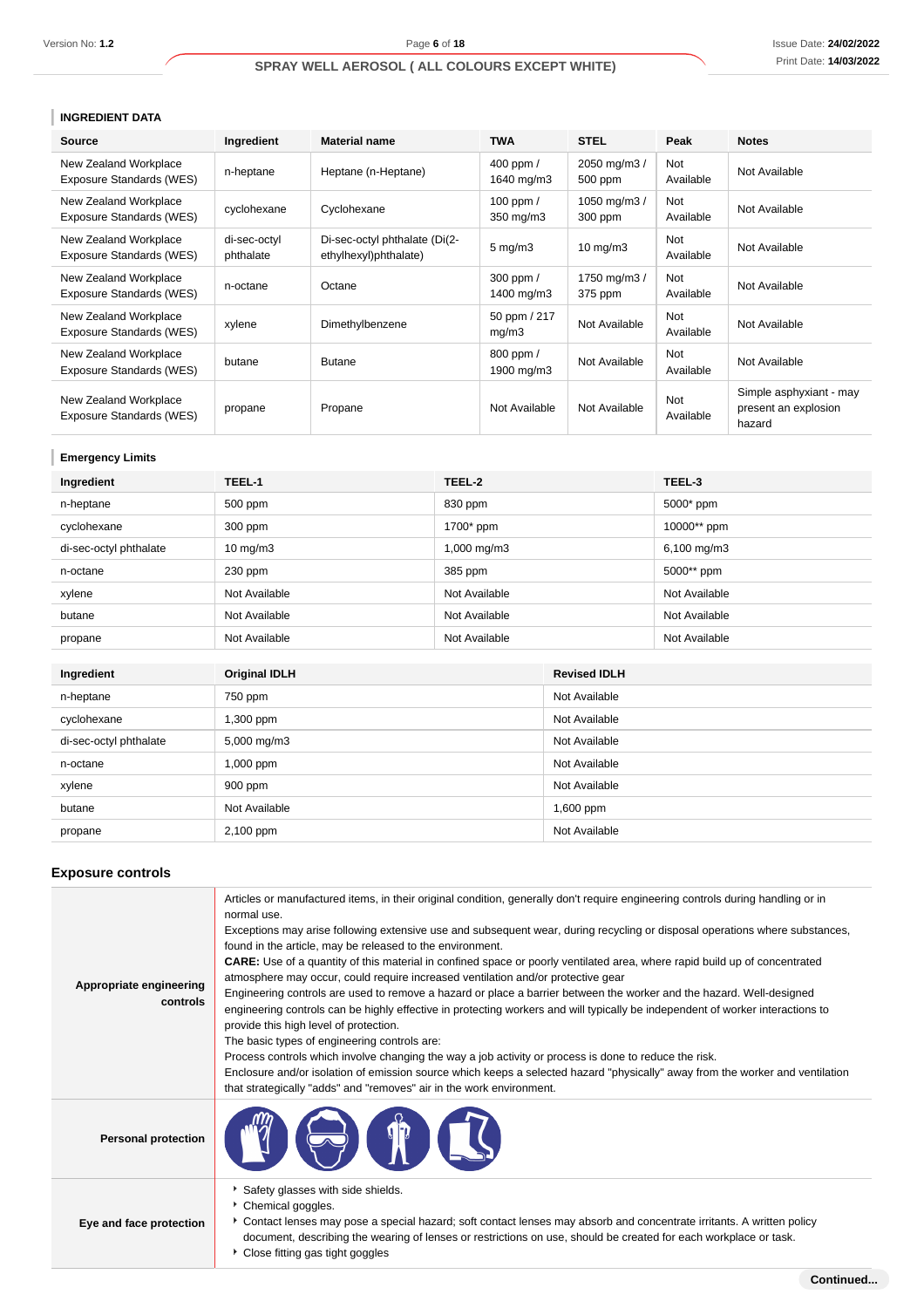## **INGREDIENT DATA**

| <b>Source</b>                                     | Ingredient                | <b>Material name</b>                                   | <b>TWA</b>              | <b>STEL</b>             | Peak             | <b>Notes</b>                                              |
|---------------------------------------------------|---------------------------|--------------------------------------------------------|-------------------------|-------------------------|------------------|-----------------------------------------------------------|
| New Zealand Workplace<br>Exposure Standards (WES) | n-heptane                 | Heptane (n-Heptane)                                    | 400 ppm /<br>1640 mg/m3 | 2050 mg/m3 /<br>500 ppm | Not<br>Available | Not Available                                             |
| New Zealand Workplace<br>Exposure Standards (WES) | cyclohexane               | Cyclohexane                                            | 100 ppm /<br>350 mg/m3  | 1050 mg/m3 /<br>300 ppm | Not<br>Available | Not Available                                             |
| New Zealand Workplace<br>Exposure Standards (WES) | di-sec-octyl<br>phthalate | Di-sec-octyl phthalate (Di(2-<br>ethylhexyl)phthalate) | $5 \text{ mg/m}$ 3      | $10 \text{ mg/m}$       | Not<br>Available | Not Available                                             |
| New Zealand Workplace<br>Exposure Standards (WES) | n-octane                  | Octane                                                 | 300 ppm /<br>1400 mg/m3 | 1750 mg/m3 /<br>375 ppm | Not<br>Available | Not Available                                             |
| New Zealand Workplace<br>Exposure Standards (WES) | xylene                    | Dimethylbenzene                                        | 50 ppm / 217<br>mg/m3   | Not Available           | Not<br>Available | Not Available                                             |
| New Zealand Workplace<br>Exposure Standards (WES) | butane                    | <b>Butane</b>                                          | 800 ppm /<br>1900 mg/m3 | Not Available           | Not<br>Available | Not Available                                             |
| New Zealand Workplace<br>Exposure Standards (WES) | propane                   | Propane                                                | Not Available           | Not Available           | Not<br>Available | Simple asphyxiant - may<br>present an explosion<br>hazard |

## **Emergency Limits**

| Ingredient             | TEEL-1            | TEEL-2        | TEEL-3        |
|------------------------|-------------------|---------------|---------------|
| n-heptane              | 500 ppm           | 830 ppm       | 5000* ppm     |
| cyclohexane            | 300 ppm           | 1700* ppm     | 10000** ppm   |
| di-sec-octyl phthalate | $10 \text{ mg/m}$ | 1,000 mg/m3   | 6,100 mg/m3   |
| n-octane               | $230$ ppm         | 385 ppm       | 5000** ppm    |
| xylene                 | Not Available     | Not Available | Not Available |
| butane                 | Not Available     | Not Available | Not Available |
| propane                | Not Available     | Not Available | Not Available |

| Ingredient             | <b>Original IDLH</b> | <b>Revised IDLH</b> |
|------------------------|----------------------|---------------------|
| n-heptane              | 750 ppm              | Not Available       |
| cyclohexane            | 1,300 ppm            | Not Available       |
| di-sec-octyl phthalate | 5,000 mg/m3          | Not Available       |
| n-octane               | $1,000$ ppm          | Not Available       |
| xylene                 | $900$ ppm            | Not Available       |
| butane                 | Not Available        | $1,600$ ppm         |
| propane                | 2,100 ppm            | Not Available       |

## **Exposure controls**

| Appropriate engineering<br>controls | Articles or manufactured items, in their original condition, generally don't require engineering controls during handling or in<br>normal use.<br>Exceptions may arise following extensive use and subsequent wear, during recycling or disposal operations where substances,<br>found in the article, may be released to the environment.<br><b>CARE:</b> Use of a quantity of this material in confined space or poorly ventilated area, where rapid build up of concentrated<br>atmosphere may occur, could require increased ventilation and/or protective gear<br>Engineering controls are used to remove a hazard or place a barrier between the worker and the hazard. Well-designed<br>engineering controls can be highly effective in protecting workers and will typically be independent of worker interactions to<br>provide this high level of protection.<br>The basic types of engineering controls are:<br>Process controls which involve changing the way a job activity or process is done to reduce the risk.<br>Enclosure and/or isolation of emission source which keeps a selected hazard "physically" away from the worker and ventilation<br>that strategically "adds" and "removes" air in the work environment. |  |  |  |
|-------------------------------------|-------------------------------------------------------------------------------------------------------------------------------------------------------------------------------------------------------------------------------------------------------------------------------------------------------------------------------------------------------------------------------------------------------------------------------------------------------------------------------------------------------------------------------------------------------------------------------------------------------------------------------------------------------------------------------------------------------------------------------------------------------------------------------------------------------------------------------------------------------------------------------------------------------------------------------------------------------------------------------------------------------------------------------------------------------------------------------------------------------------------------------------------------------------------------------------------------------------------------------------------|--|--|--|
| <b>Personal protection</b>          |                                                                                                                                                                                                                                                                                                                                                                                                                                                                                                                                                                                                                                                                                                                                                                                                                                                                                                                                                                                                                                                                                                                                                                                                                                           |  |  |  |
| Eye and face protection             | Safety glasses with side shields.<br>Chemical goggles.<br>Contact lenses may pose a special hazard; soft contact lenses may absorb and concentrate irritants. A written policy<br>document, describing the wearing of lenses or restrictions on use, should be created for each workplace or task.<br>• Close fitting gas tight goggles                                                                                                                                                                                                                                                                                                                                                                                                                                                                                                                                                                                                                                                                                                                                                                                                                                                                                                   |  |  |  |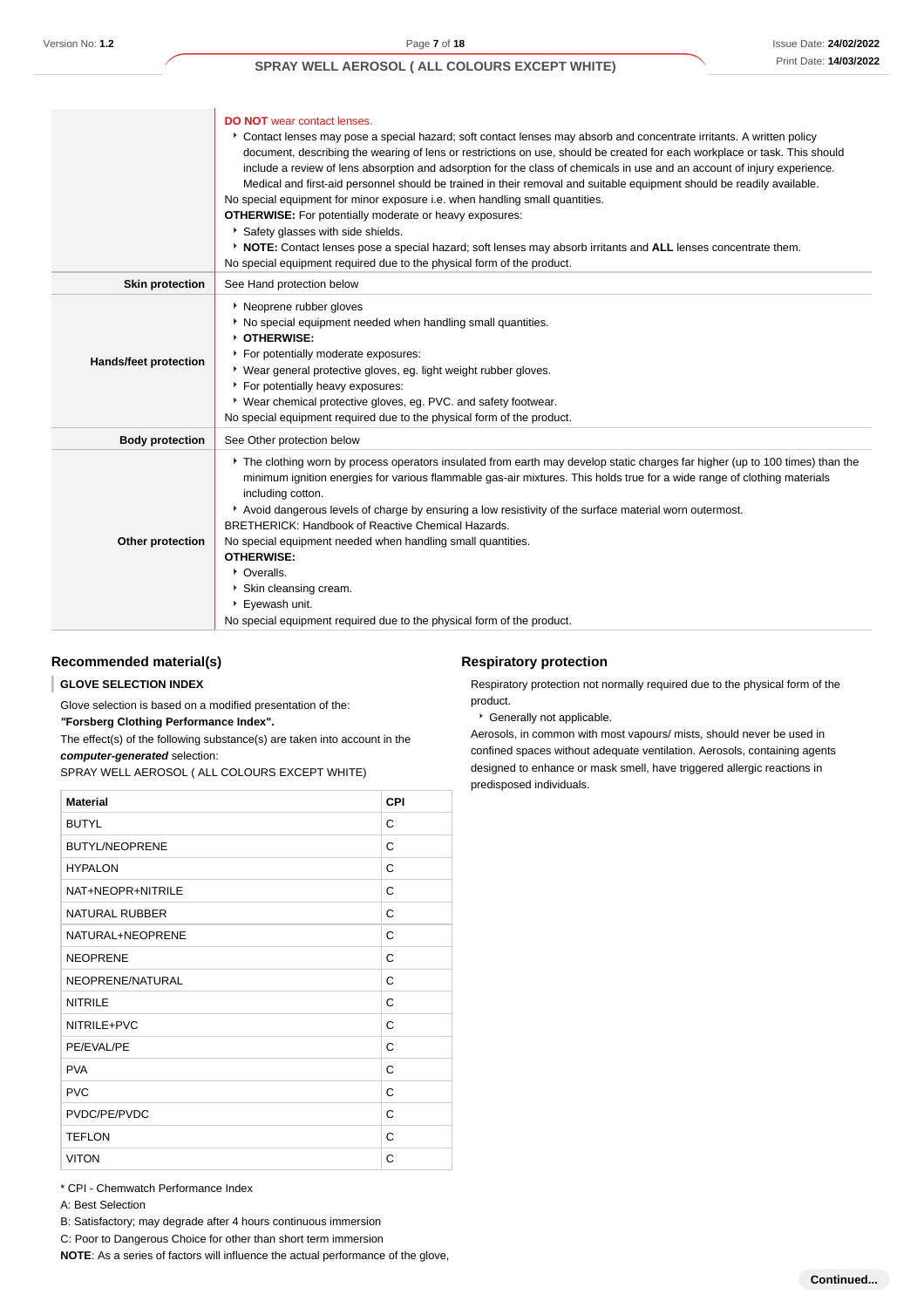|                        | <b>DO NOT</b> wear contact lenses.<br>Contact lenses may pose a special hazard; soft contact lenses may absorb and concentrate irritants. A written policy<br>document, describing the wearing of lens or restrictions on use, should be created for each workplace or task. This should<br>include a review of lens absorption and adsorption for the class of chemicals in use and an account of injury experience.<br>Medical and first-aid personnel should be trained in their removal and suitable equipment should be readily available.<br>No special equipment for minor exposure i.e. when handling small quantities.<br><b>OTHERWISE:</b> For potentially moderate or heavy exposures:<br>Safety glasses with side shields.<br>▶ NOTE: Contact lenses pose a special hazard; soft lenses may absorb irritants and ALL lenses concentrate them.<br>No special equipment required due to the physical form of the product. |
|------------------------|-------------------------------------------------------------------------------------------------------------------------------------------------------------------------------------------------------------------------------------------------------------------------------------------------------------------------------------------------------------------------------------------------------------------------------------------------------------------------------------------------------------------------------------------------------------------------------------------------------------------------------------------------------------------------------------------------------------------------------------------------------------------------------------------------------------------------------------------------------------------------------------------------------------------------------------|
| <b>Skin protection</b> | See Hand protection below                                                                                                                                                                                                                                                                                                                                                                                                                                                                                                                                                                                                                                                                                                                                                                                                                                                                                                           |
| Hands/feet protection  | ▶ Neoprene rubber gloves<br>No special equipment needed when handling small quantities.<br><b>b</b> OTHERWISE:<br>For potentially moderate exposures:<br>• Wear general protective gloves, eg. light weight rubber gloves.<br>For potentially heavy exposures:<br>* Wear chemical protective gloves, eg. PVC. and safety footwear.<br>No special equipment required due to the physical form of the product.                                                                                                                                                                                                                                                                                                                                                                                                                                                                                                                        |
| <b>Body protection</b> | See Other protection below                                                                                                                                                                                                                                                                                                                                                                                                                                                                                                                                                                                                                                                                                                                                                                                                                                                                                                          |
| Other protection       | The clothing worn by process operators insulated from earth may develop static charges far higher (up to 100 times) than the<br>minimum ignition energies for various flammable gas-air mixtures. This holds true for a wide range of clothing materials<br>including cotton.<br>Avoid dangerous levels of charge by ensuring a low resistivity of the surface material worn outermost.<br><b>BRETHERICK: Handbook of Reactive Chemical Hazards.</b><br>No special equipment needed when handling small quantities.<br><b>OTHERWISE:</b><br>• Overalls.<br>Skin cleansing cream.<br>Eyewash unit.<br>No special equipment required due to the physical form of the product.                                                                                                                                                                                                                                                         |

## **Recommended material(s)**

#### ı **GLOVE SELECTION INDEX**

Glove selection is based on a modified presentation of the:

#### **"Forsberg Clothing Performance Index".**

The effect(s) of the following substance(s) are taken into account in the **computer-generated** selection:

SPRAY WELL AEROSOL ( ALL COLOURS EXCEPT WHITE)

| <b>Material</b>       | <b>CPI</b> |
|-----------------------|------------|
| <b>BUTYL</b>          | C          |
| <b>BUTYL/NEOPRENE</b> | C          |
| <b>HYPALON</b>        | C          |
| NAT+NEOPR+NITRILE     | C          |
| NATURAL RUBBER        | C          |
| NATURAL+NEOPRENE      | C          |
| <b>NEOPRENE</b>       | C          |
| NEOPRENE/NATURAL      | C          |
| <b>NITRILE</b>        | C          |
| NITRILE+PVC           | C          |
| PE/EVAL/PE            | C          |
| <b>PVA</b>            | C          |
| <b>PVC</b>            | C          |
| PVDC/PE/PVDC          | C          |
| <b>TEFLON</b>         | C          |
| <b>VITON</b>          | C          |

\* CPI - Chemwatch Performance Index

A: Best Selection

B: Satisfactory; may degrade after 4 hours continuous immersion

C: Poor to Dangerous Choice for other than short term immersion

**NOTE**: As a series of factors will influence the actual performance of the glove,

#### **Respiratory protection**

Respiratory protection not normally required due to the physical form of the product.

Generally not applicable.

Aerosols, in common with most vapours/ mists, should never be used in confined spaces without adequate ventilation. Aerosols, containing agents designed to enhance or mask smell, have triggered allergic reactions in predisposed individuals.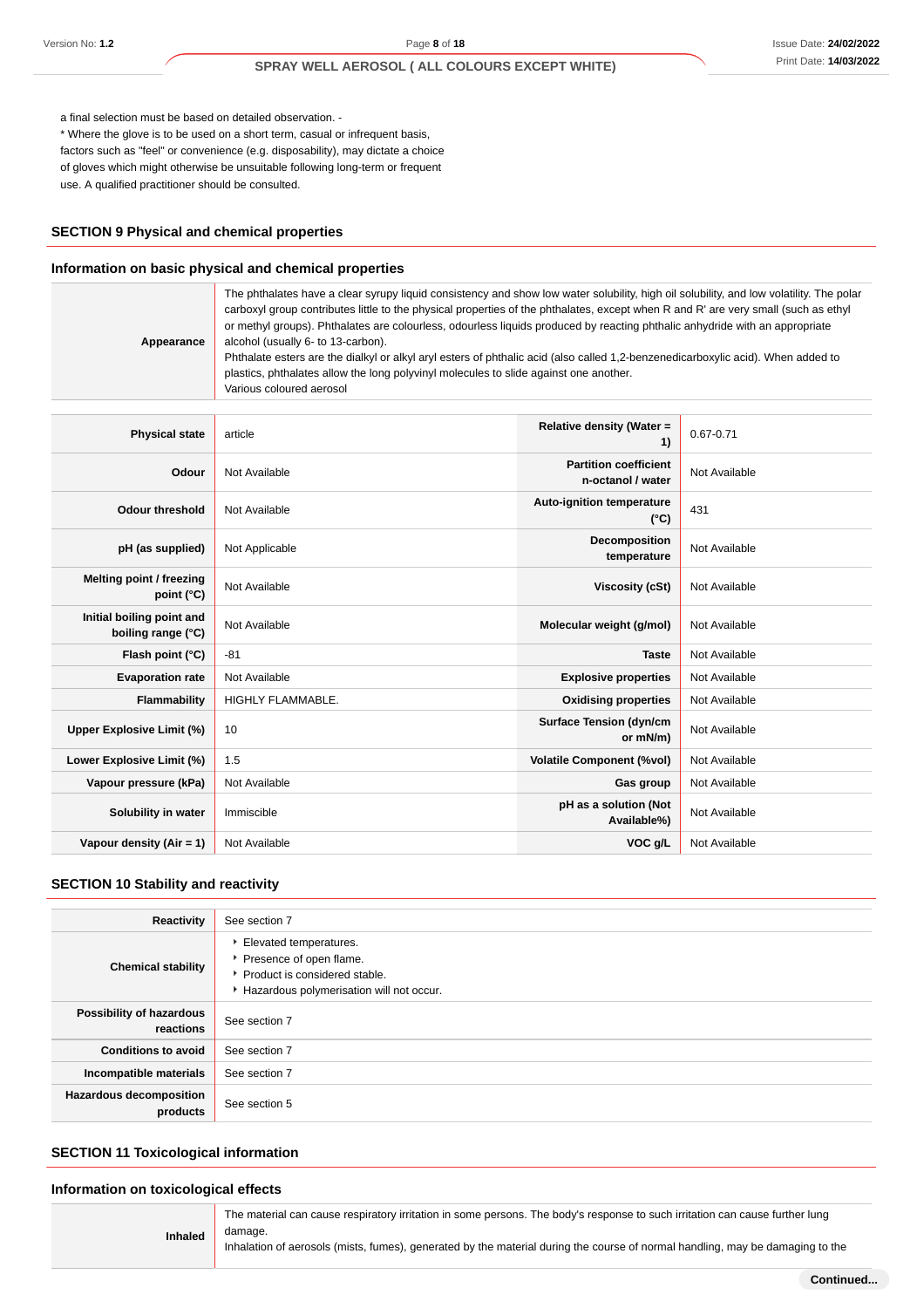a final selection must be based on detailed observation. -

\* Where the glove is to be used on a short term, casual or infrequent basis, factors such as "feel" or convenience (e.g. disposability), may dictate a choice of gloves which might otherwise be unsuitable following long-term or frequent use. A qualified practitioner should be consulted.

## **SECTION 9 Physical and chemical properties**

#### **Information on basic physical and chemical properties**

| Appearance                                      | The phthalates have a clear syrupy liquid consistency and show low water solubility, high oil solubility, and low volatility. The polar<br>carboxyl group contributes little to the physical properties of the phthalates, except when R and R' are very small (such as ethyl<br>or methyl groups). Phthalates are colourless, odourless liquids produced by reacting phthalic anhydride with an appropriate<br>alcohol (usually 6- to 13-carbon).<br>Phthalate esters are the dialkyl or alkyl aryl esters of phthalic acid (also called 1,2-benzenedicarboxylic acid). When added to<br>plastics, phthalates allow the long polyvinyl molecules to slide against one another.<br>Various coloured aerosol |                                                   |               |
|-------------------------------------------------|-------------------------------------------------------------------------------------------------------------------------------------------------------------------------------------------------------------------------------------------------------------------------------------------------------------------------------------------------------------------------------------------------------------------------------------------------------------------------------------------------------------------------------------------------------------------------------------------------------------------------------------------------------------------------------------------------------------|---------------------------------------------------|---------------|
|                                                 |                                                                                                                                                                                                                                                                                                                                                                                                                                                                                                                                                                                                                                                                                                             |                                                   |               |
| <b>Physical state</b>                           | article                                                                                                                                                                                                                                                                                                                                                                                                                                                                                                                                                                                                                                                                                                     | Relative density (Water =<br>1)                   | $0.67 - 0.71$ |
| Odour                                           | Not Available                                                                                                                                                                                                                                                                                                                                                                                                                                                                                                                                                                                                                                                                                               | <b>Partition coefficient</b><br>n-octanol / water | Not Available |
| <b>Odour threshold</b>                          | Not Available                                                                                                                                                                                                                                                                                                                                                                                                                                                                                                                                                                                                                                                                                               | Auto-ignition temperature<br>$(^{\circ}C)$        | 431           |
| pH (as supplied)                                | Not Applicable                                                                                                                                                                                                                                                                                                                                                                                                                                                                                                                                                                                                                                                                                              | Decomposition<br>temperature                      | Not Available |
| <b>Melting point / freezing</b><br>point (°C)   | Not Available                                                                                                                                                                                                                                                                                                                                                                                                                                                                                                                                                                                                                                                                                               | <b>Viscosity (cSt)</b>                            | Not Available |
| Initial boiling point and<br>boiling range (°C) | Not Available                                                                                                                                                                                                                                                                                                                                                                                                                                                                                                                                                                                                                                                                                               | Molecular weight (g/mol)                          | Not Available |
| Flash point (°C)                                | $-81$                                                                                                                                                                                                                                                                                                                                                                                                                                                                                                                                                                                                                                                                                                       | <b>Taste</b>                                      | Not Available |
| <b>Evaporation rate</b>                         | Not Available                                                                                                                                                                                                                                                                                                                                                                                                                                                                                                                                                                                                                                                                                               | <b>Explosive properties</b>                       | Not Available |
| Flammability                                    | <b>HIGHLY FLAMMABLE.</b>                                                                                                                                                                                                                                                                                                                                                                                                                                                                                                                                                                                                                                                                                    | <b>Oxidising properties</b>                       | Not Available |
| <b>Upper Explosive Limit (%)</b>                | 10                                                                                                                                                                                                                                                                                                                                                                                                                                                                                                                                                                                                                                                                                                          | <b>Surface Tension (dyn/cm</b><br>or mN/m)        | Not Available |
| Lower Explosive Limit (%)                       | 1.5                                                                                                                                                                                                                                                                                                                                                                                                                                                                                                                                                                                                                                                                                                         | <b>Volatile Component (%vol)</b>                  | Not Available |
| Vapour pressure (kPa)                           | Not Available                                                                                                                                                                                                                                                                                                                                                                                                                                                                                                                                                                                                                                                                                               | Gas group                                         | Not Available |
| Solubility in water                             | Immiscible                                                                                                                                                                                                                                                                                                                                                                                                                                                                                                                                                                                                                                                                                                  | pH as a solution (Not<br>Available%)              | Not Available |
| Vapour density (Air = 1)                        | Not Available                                                                                                                                                                                                                                                                                                                                                                                                                                                                                                                                                                                                                                                                                               | VOC g/L                                           | Not Available |

## **SECTION 10 Stability and reactivity**

| Reactivity                                 | See section 7                                                                                                                    |
|--------------------------------------------|----------------------------------------------------------------------------------------------------------------------------------|
| <b>Chemical stability</b>                  | Elevated temperatures.<br>Presence of open flame.<br>▶ Product is considered stable.<br>Hazardous polymerisation will not occur. |
| Possibility of hazardous<br>reactions      | See section 7                                                                                                                    |
| <b>Conditions to avoid</b>                 | See section 7                                                                                                                    |
| Incompatible materials                     | See section 7                                                                                                                    |
| <b>Hazardous decomposition</b><br>products | See section 5                                                                                                                    |

## **SECTION 11 Toxicological information**

#### **Information on toxicological effects**

| <b>Inhaled</b> | The material can cause respiratory irritation in some persons. The body's response to such irritation can cause further lung<br>damage.<br>Inhalation of aerosols (mists, fumes), generated by the material during the course of normal handling, may be damaging to the |
|----------------|--------------------------------------------------------------------------------------------------------------------------------------------------------------------------------------------------------------------------------------------------------------------------|
|----------------|--------------------------------------------------------------------------------------------------------------------------------------------------------------------------------------------------------------------------------------------------------------------------|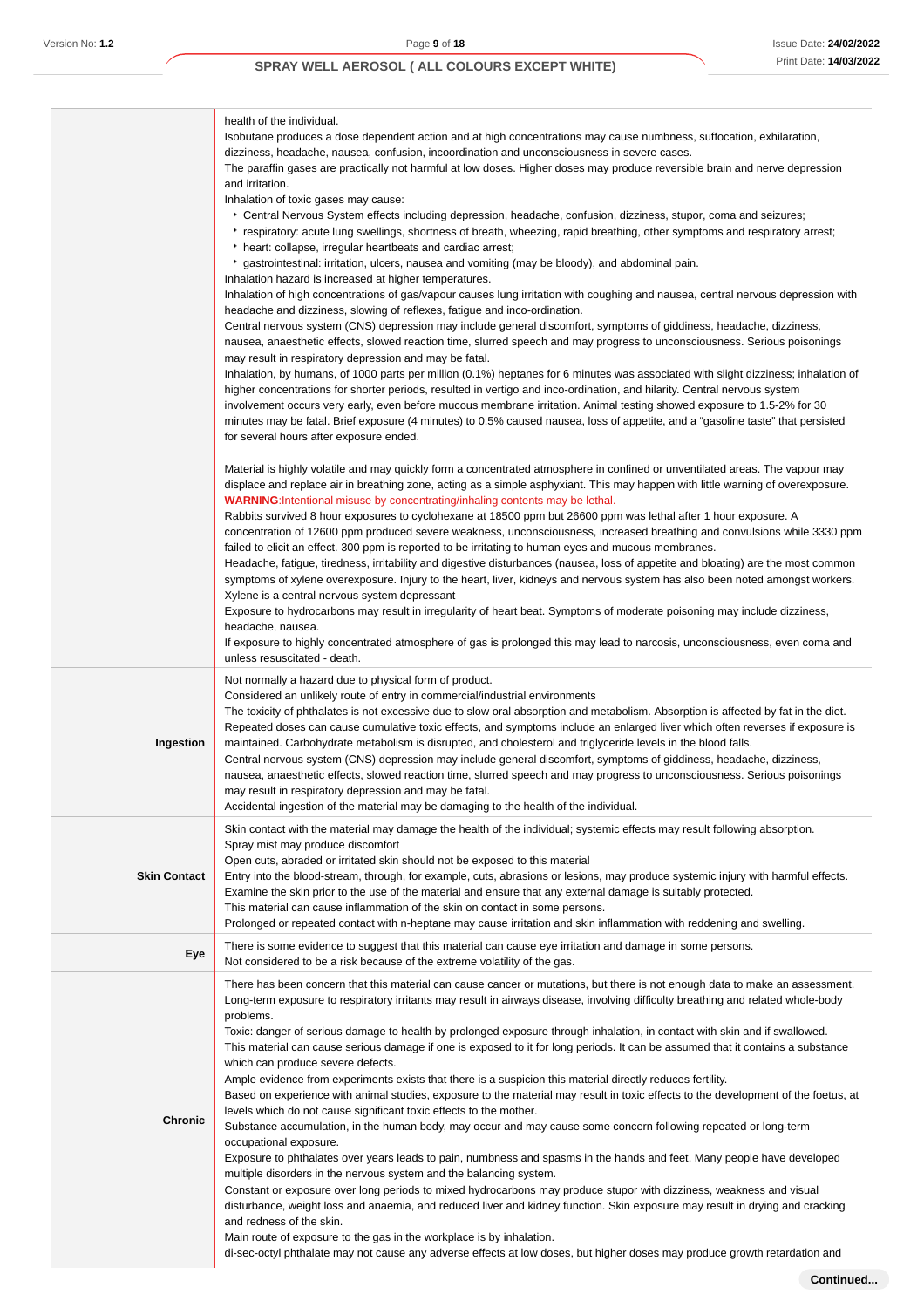|                     | health of the individual.<br>Isobutane produces a dose dependent action and at high concentrations may cause numbness, suffocation, exhilaration,<br>dizziness, headache, nausea, confusion, incoordination and unconsciousness in severe cases.<br>The paraffin gases are practically not harmful at low doses. Higher doses may produce reversible brain and nerve depression<br>and irritation.<br>Inhalation of toxic gases may cause:<br>Central Nervous System effects including depression, headache, confusion, dizziness, stupor, coma and seizures;<br>Frespiratory: acute lung swellings, shortness of breath, wheezing, rapid breathing, other symptoms and respiratory arrest;<br>heart: collapse, irregular heartbeats and cardiac arrest;<br>gastrointestinal: irritation, ulcers, nausea and vomiting (may be bloody), and abdominal pain.<br>Inhalation hazard is increased at higher temperatures.<br>Inhalation of high concentrations of gas/vapour causes lung irritation with coughing and nausea, central nervous depression with<br>headache and dizziness, slowing of reflexes, fatigue and inco-ordination.<br>Central nervous system (CNS) depression may include general discomfort, symptoms of giddiness, headache, dizziness,<br>nausea, anaesthetic effects, slowed reaction time, slurred speech and may progress to unconsciousness. Serious poisonings<br>may result in respiratory depression and may be fatal.<br>Inhalation, by humans, of 1000 parts per million (0.1%) heptanes for 6 minutes was associated with slight dizziness; inhalation of<br>higher concentrations for shorter periods, resulted in vertigo and inco-ordination, and hilarity. Central nervous system<br>involvement occurs very early, even before mucous membrane irritation. Animal testing showed exposure to 1.5-2% for 30<br>minutes may be fatal. Brief exposure (4 minutes) to 0.5% caused nausea, loss of appetite, and a "gasoline taste" that persisted<br>for several hours after exposure ended.<br>Material is highly volatile and may quickly form a concentrated atmosphere in confined or unventilated areas. The vapour may<br>displace and replace air in breathing zone, acting as a simple asphyxiant. This may happen with little warning of overexposure.<br><b>WARNING:</b> Intentional misuse by concentrating/inhaling contents may be lethal.<br>Rabbits survived 8 hour exposures to cyclohexane at 18500 ppm but 26600 ppm was lethal after 1 hour exposure. A<br>concentration of 12600 ppm produced severe weakness, unconsciousness, increased breathing and convulsions while 3330 ppm<br>failed to elicit an effect. 300 ppm is reported to be irritating to human eyes and mucous membranes.<br>Headache, fatigue, tiredness, irritability and digestive disturbances (nausea, loss of appetite and bloating) are the most common<br>symptoms of xylene overexposure. Injury to the heart, liver, kidneys and nervous system has also been noted amongst workers.<br>Xylene is a central nervous system depressant<br>Exposure to hydrocarbons may result in irregularity of heart beat. Symptoms of moderate poisoning may include dizziness,<br>headache, nausea.<br>If exposure to highly concentrated atmosphere of gas is prolonged this may lead to narcosis, unconsciousness, even coma and |
|---------------------|-------------------------------------------------------------------------------------------------------------------------------------------------------------------------------------------------------------------------------------------------------------------------------------------------------------------------------------------------------------------------------------------------------------------------------------------------------------------------------------------------------------------------------------------------------------------------------------------------------------------------------------------------------------------------------------------------------------------------------------------------------------------------------------------------------------------------------------------------------------------------------------------------------------------------------------------------------------------------------------------------------------------------------------------------------------------------------------------------------------------------------------------------------------------------------------------------------------------------------------------------------------------------------------------------------------------------------------------------------------------------------------------------------------------------------------------------------------------------------------------------------------------------------------------------------------------------------------------------------------------------------------------------------------------------------------------------------------------------------------------------------------------------------------------------------------------------------------------------------------------------------------------------------------------------------------------------------------------------------------------------------------------------------------------------------------------------------------------------------------------------------------------------------------------------------------------------------------------------------------------------------------------------------------------------------------------------------------------------------------------------------------------------------------------------------------------------------------------------------------------------------------------------------------------------------------------------------------------------------------------------------------------------------------------------------------------------------------------------------------------------------------------------------------------------------------------------------------------------------------------------------------------------------------------------------------------------------------------------------------------------------------------------------------------------------------------------------------------------------------------------------------------------------------------------------------------------------------------------------------------------------------------------------------------------------------------------------------------------------|
|                     | unless resuscitated - death.<br>Not normally a hazard due to physical form of product.                                                                                                                                                                                                                                                                                                                                                                                                                                                                                                                                                                                                                                                                                                                                                                                                                                                                                                                                                                                                                                                                                                                                                                                                                                                                                                                                                                                                                                                                                                                                                                                                                                                                                                                                                                                                                                                                                                                                                                                                                                                                                                                                                                                                                                                                                                                                                                                                                                                                                                                                                                                                                                                                                                                                                                                                                                                                                                                                                                                                                                                                                                                                                                                                                                                                |
| Ingestion           | Considered an unlikely route of entry in commercial/industrial environments<br>The toxicity of phthalates is not excessive due to slow oral absorption and metabolism. Absorption is affected by fat in the diet.<br>Repeated doses can cause cumulative toxic effects, and symptoms include an enlarged liver which often reverses if exposure is<br>maintained. Carbohydrate metabolism is disrupted, and cholesterol and triglyceride levels in the blood falls.<br>Central nervous system (CNS) depression may include general discomfort, symptoms of giddiness, headache, dizziness,<br>nausea, anaesthetic effects, slowed reaction time, slurred speech and may progress to unconsciousness. Serious poisonings<br>may result in respiratory depression and may be fatal.<br>Accidental ingestion of the material may be damaging to the health of the individual.                                                                                                                                                                                                                                                                                                                                                                                                                                                                                                                                                                                                                                                                                                                                                                                                                                                                                                                                                                                                                                                                                                                                                                                                                                                                                                                                                                                                                                                                                                                                                                                                                                                                                                                                                                                                                                                                                                                                                                                                                                                                                                                                                                                                                                                                                                                                                                                                                                                                            |
| <b>Skin Contact</b> | Skin contact with the material may damage the health of the individual; systemic effects may result following absorption.<br>Spray mist may produce discomfort<br>Open cuts, abraded or irritated skin should not be exposed to this material<br>Entry into the blood-stream, through, for example, cuts, abrasions or lesions, may produce systemic injury with harmful effects.<br>Examine the skin prior to the use of the material and ensure that any external damage is suitably protected.<br>This material can cause inflammation of the skin on contact in some persons.<br>Prolonged or repeated contact with n-heptane may cause irritation and skin inflammation with reddening and swelling.                                                                                                                                                                                                                                                                                                                                                                                                                                                                                                                                                                                                                                                                                                                                                                                                                                                                                                                                                                                                                                                                                                                                                                                                                                                                                                                                                                                                                                                                                                                                                                                                                                                                                                                                                                                                                                                                                                                                                                                                                                                                                                                                                                                                                                                                                                                                                                                                                                                                                                                                                                                                                                             |
| Eye                 | There is some evidence to suggest that this material can cause eye irritation and damage in some persons.<br>Not considered to be a risk because of the extreme volatility of the gas.                                                                                                                                                                                                                                                                                                                                                                                                                                                                                                                                                                                                                                                                                                                                                                                                                                                                                                                                                                                                                                                                                                                                                                                                                                                                                                                                                                                                                                                                                                                                                                                                                                                                                                                                                                                                                                                                                                                                                                                                                                                                                                                                                                                                                                                                                                                                                                                                                                                                                                                                                                                                                                                                                                                                                                                                                                                                                                                                                                                                                                                                                                                                                                |
| Chronic             | There has been concern that this material can cause cancer or mutations, but there is not enough data to make an assessment.<br>Long-term exposure to respiratory irritants may result in airways disease, involving difficulty breathing and related whole-body<br>problems.<br>Toxic: danger of serious damage to health by prolonged exposure through inhalation, in contact with skin and if swallowed.<br>This material can cause serious damage if one is exposed to it for long periods. It can be assumed that it contains a substance<br>which can produce severe defects.<br>Ample evidence from experiments exists that there is a suspicion this material directly reduces fertility.<br>Based on experience with animal studies, exposure to the material may result in toxic effects to the development of the foetus, at<br>levels which do not cause significant toxic effects to the mother.<br>Substance accumulation, in the human body, may occur and may cause some concern following repeated or long-term<br>occupational exposure.<br>Exposure to phthalates over years leads to pain, numbness and spasms in the hands and feet. Many people have developed<br>multiple disorders in the nervous system and the balancing system.<br>Constant or exposure over long periods to mixed hydrocarbons may produce stupor with dizziness, weakness and visual<br>disturbance, weight loss and anaemia, and reduced liver and kidney function. Skin exposure may result in drying and cracking<br>and redness of the skin.<br>Main route of exposure to the gas in the workplace is by inhalation.<br>di-sec-octyl phthalate may not cause any adverse effects at low doses, but higher doses may produce growth retardation and                                                                                                                                                                                                                                                                                                                                                                                                                                                                                                                                                                                                                                                                                                                                                                                                                                                                                                                                                                                                                                                                                                                                                                                                                                                                                                                                                                                                                                                                                                                                                                                                   |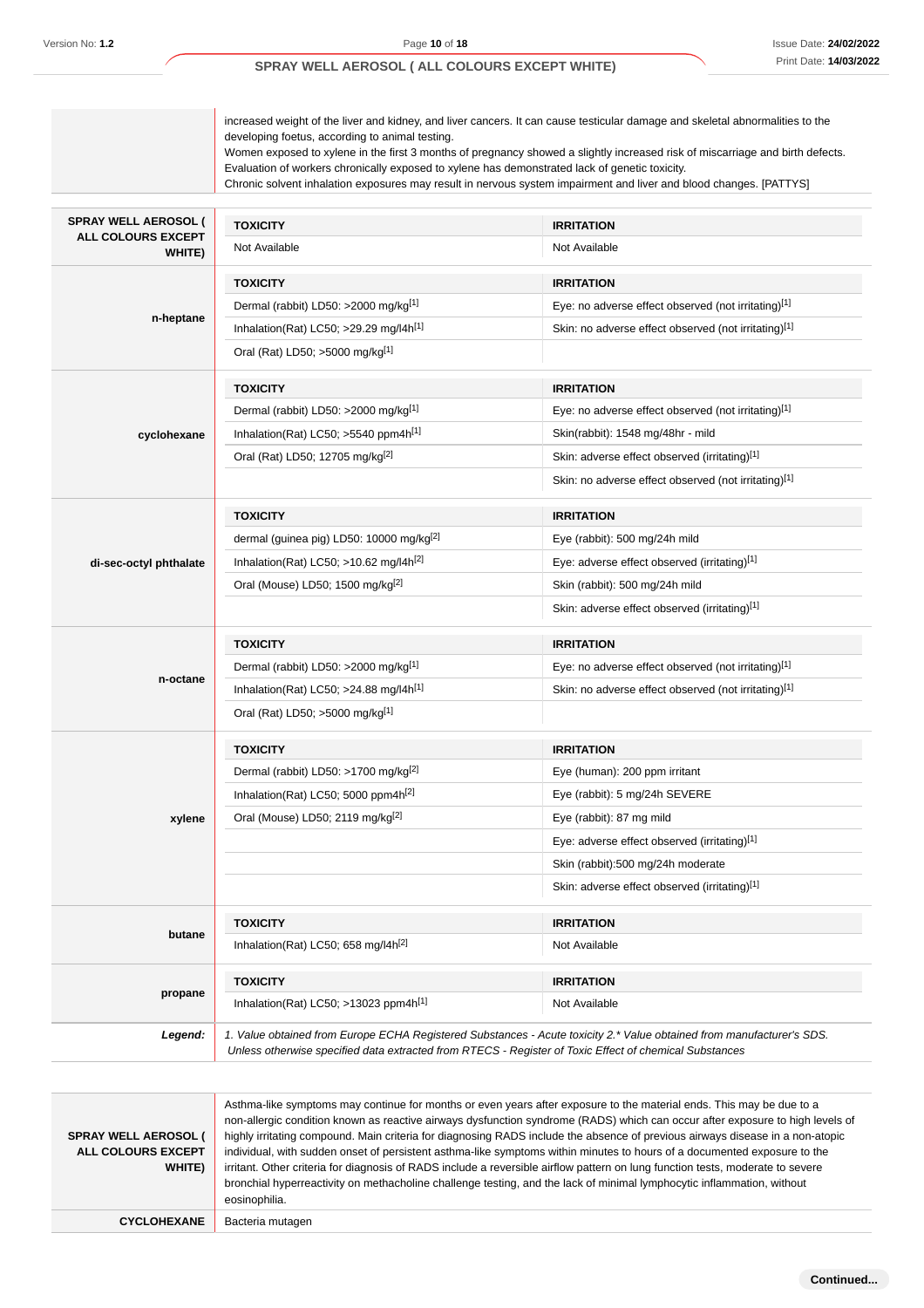|                              | developing foetus, according to animal testing.<br>Evaluation of workers chronically exposed to xylene has demonstrated lack of genetic toxicity.                                                                               | increased weight of the liver and kidney, and liver cancers. It can cause testicular damage and skeletal abnormalities to the<br>Women exposed to xylene in the first 3 months of pregnancy showed a slightly increased risk of miscarriage and birth defects.<br>Chronic solvent inhalation exposures may result in nervous system impairment and liver and blood changes. [PATTYS] |
|------------------------------|---------------------------------------------------------------------------------------------------------------------------------------------------------------------------------------------------------------------------------|--------------------------------------------------------------------------------------------------------------------------------------------------------------------------------------------------------------------------------------------------------------------------------------------------------------------------------------------------------------------------------------|
| <b>SPRAY WELL AEROSOL (</b>  | <b>TOXICITY</b>                                                                                                                                                                                                                 | <b>IRRITATION</b>                                                                                                                                                                                                                                                                                                                                                                    |
| ALL COLOURS EXCEPT<br>WHITE) | Not Available                                                                                                                                                                                                                   | Not Available                                                                                                                                                                                                                                                                                                                                                                        |
|                              | <b>TOXICITY</b>                                                                                                                                                                                                                 | <b>IRRITATION</b>                                                                                                                                                                                                                                                                                                                                                                    |
|                              | Dermal (rabbit) LD50: >2000 mg/kg[1]                                                                                                                                                                                            | Eye: no adverse effect observed (not irritating)[1]                                                                                                                                                                                                                                                                                                                                  |
| n-heptane                    | Inhalation(Rat) LC50; $>29.29$ mg/l4h <sup>[1]</sup>                                                                                                                                                                            | Skin: no adverse effect observed (not irritating)[1]                                                                                                                                                                                                                                                                                                                                 |
|                              | Oral (Rat) LD50; >5000 mg/kg[1]                                                                                                                                                                                                 |                                                                                                                                                                                                                                                                                                                                                                                      |
|                              | <b>TOXICITY</b>                                                                                                                                                                                                                 | <b>IRRITATION</b>                                                                                                                                                                                                                                                                                                                                                                    |
|                              | Dermal (rabbit) LD50: >2000 mg/kg[1]                                                                                                                                                                                            | Eye: no adverse effect observed (not irritating)[1]                                                                                                                                                                                                                                                                                                                                  |
| cyclohexane                  | Inhalation(Rat) LC50; >5540 ppm4h <sup>[1]</sup>                                                                                                                                                                                | Skin(rabbit): 1548 mg/48hr - mild                                                                                                                                                                                                                                                                                                                                                    |
|                              | Oral (Rat) LD50; 12705 mg/kg <sup>[2]</sup>                                                                                                                                                                                     | Skin: adverse effect observed (irritating)[1]                                                                                                                                                                                                                                                                                                                                        |
|                              |                                                                                                                                                                                                                                 | Skin: no adverse effect observed (not irritating)[1]                                                                                                                                                                                                                                                                                                                                 |
|                              | <b>TOXICITY</b>                                                                                                                                                                                                                 | <b>IRRITATION</b>                                                                                                                                                                                                                                                                                                                                                                    |
|                              | dermal (guinea pig) LD50: 10000 mg/kg[2]                                                                                                                                                                                        | Eye (rabbit): 500 mg/24h mild                                                                                                                                                                                                                                                                                                                                                        |
| di-sec-octyl phthalate       | Inhalation(Rat) LC50; $>10.62$ mg/l4h <sup>[2]</sup>                                                                                                                                                                            | Eye: adverse effect observed (irritating)[1]                                                                                                                                                                                                                                                                                                                                         |
|                              | Oral (Mouse) LD50; 1500 mg/kg <sup>[2]</sup>                                                                                                                                                                                    | Skin (rabbit): 500 mg/24h mild                                                                                                                                                                                                                                                                                                                                                       |
|                              |                                                                                                                                                                                                                                 | Skin: adverse effect observed (irritating)[1]                                                                                                                                                                                                                                                                                                                                        |
|                              | <b>TOXICITY</b>                                                                                                                                                                                                                 | <b>IRRITATION</b>                                                                                                                                                                                                                                                                                                                                                                    |
|                              | Dermal (rabbit) LD50: >2000 mg/kg[1]                                                                                                                                                                                            | Eye: no adverse effect observed (not irritating)[1]                                                                                                                                                                                                                                                                                                                                  |
| n-octane                     | Inhalation(Rat) LC50; >24.88 mg/l4h[1]                                                                                                                                                                                          | Skin: no adverse effect observed (not irritating)[1]                                                                                                                                                                                                                                                                                                                                 |
|                              | Oral (Rat) LD50; >5000 mg/kg[1]                                                                                                                                                                                                 |                                                                                                                                                                                                                                                                                                                                                                                      |
|                              | <b>TOXICITY</b>                                                                                                                                                                                                                 | <b>IRRITATION</b>                                                                                                                                                                                                                                                                                                                                                                    |
|                              | Dermal (rabbit) LD50: >1700 mg/kg <sup>[2]</sup>                                                                                                                                                                                | Eye (human): 200 ppm irritant                                                                                                                                                                                                                                                                                                                                                        |
|                              | Inhalation(Rat) LC50; 5000 ppm4h $^{[2]}$                                                                                                                                                                                       | Eye (rabbit): 5 mg/24h SEVERE                                                                                                                                                                                                                                                                                                                                                        |
| xylene                       | Oral (Mouse) LD50; 2119 mg/kg <sup>[2]</sup>                                                                                                                                                                                    | Eye (rabbit): 87 mg mild                                                                                                                                                                                                                                                                                                                                                             |
|                              |                                                                                                                                                                                                                                 | Eye: adverse effect observed (irritating)[1]                                                                                                                                                                                                                                                                                                                                         |
|                              |                                                                                                                                                                                                                                 | Skin (rabbit):500 mg/24h moderate                                                                                                                                                                                                                                                                                                                                                    |
|                              |                                                                                                                                                                                                                                 | Skin: adverse effect observed (irritating)[1]                                                                                                                                                                                                                                                                                                                                        |
| butane                       | <b>TOXICITY</b>                                                                                                                                                                                                                 | <b>IRRITATION</b>                                                                                                                                                                                                                                                                                                                                                                    |
|                              | Inhalation(Rat) LC50; 658 mg/l4h <sup>[2]</sup>                                                                                                                                                                                 | Not Available                                                                                                                                                                                                                                                                                                                                                                        |
|                              | <b>TOXICITY</b>                                                                                                                                                                                                                 | <b>IRRITATION</b>                                                                                                                                                                                                                                                                                                                                                                    |
| propane                      | Inhalation(Rat) LC50; >13023 ppm4h[1]                                                                                                                                                                                           | Not Available                                                                                                                                                                                                                                                                                                                                                                        |
| Legend:                      | 1. Value obtained from Europe ECHA Registered Substances - Acute toxicity 2.* Value obtained from manufacturer's SDS.<br>Unless otherwise specified data extracted from RTECS - Register of Toxic Effect of chemical Substances |                                                                                                                                                                                                                                                                                                                                                                                      |

| <b>SPRAY WELL AEROSOL (</b><br><b>ALL COLOURS EXCEPT</b><br>WHITE) | Asthma-like symptoms may continue for months or even years after exposure to the material ends. This may be due to a<br>non-allergic condition known as reactive airways dysfunction syndrome (RADS) which can occur after exposure to high levels of<br>highly irritating compound. Main criteria for diagnosing RADS include the absence of previous airways disease in a non-atopic<br>individual, with sudden onset of persistent asthma-like symptoms within minutes to hours of a documented exposure to the<br>irritant. Other criteria for diagnosis of RADS include a reversible airflow pattern on lung function tests, moderate to severe<br>bronchial hyperreactivity on methacholine challenge testing, and the lack of minimal lymphocytic inflammation, without<br>eosinophilia. |
|--------------------------------------------------------------------|-------------------------------------------------------------------------------------------------------------------------------------------------------------------------------------------------------------------------------------------------------------------------------------------------------------------------------------------------------------------------------------------------------------------------------------------------------------------------------------------------------------------------------------------------------------------------------------------------------------------------------------------------------------------------------------------------------------------------------------------------------------------------------------------------|
| <b>CYCLOHEXANE</b>                                                 | Bacteria mutagen                                                                                                                                                                                                                                                                                                                                                                                                                                                                                                                                                                                                                                                                                                                                                                                |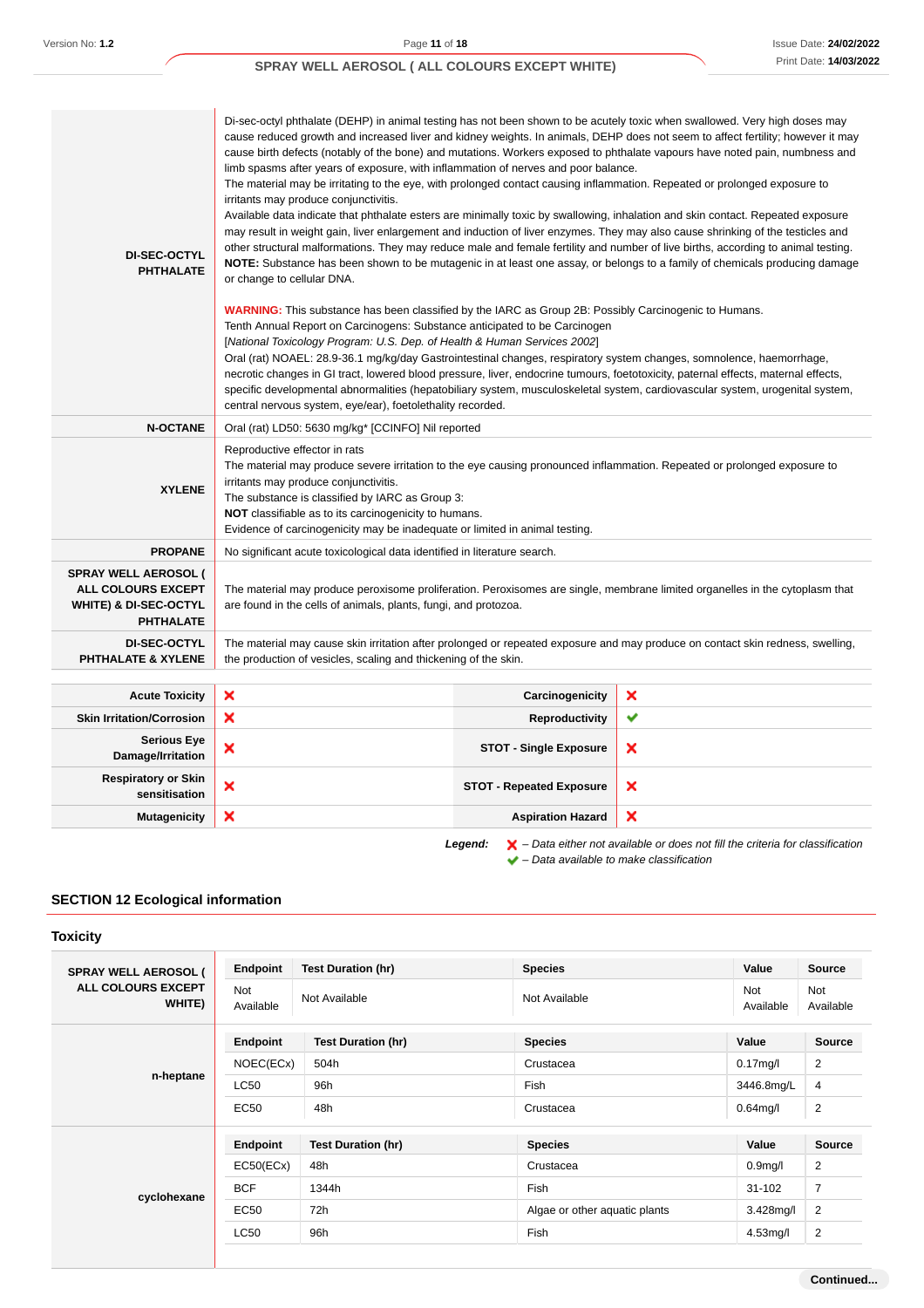#### Di-sec-octyl phthalate (DEHP) in animal testing has not been shown to be acutely toxic when swallowed. Very high doses may cause reduced growth and increased liver and kidney weights. In animals, DEHP does not seem to affect fertility; however it may cause birth defects (notably of the bone) and mutations. Workers exposed to phthalate vapours have noted pain, numbness and limb spasms after years of exposure, with inflammation of nerves and poor balance. The material may be irritating to the eye, with prolonged contact causing inflammation. Repeated or prolonged exposure to irritants may produce conjunctivitis. Available data indicate that phthalate esters are minimally toxic by swallowing, inhalation and skin contact. Repeated exposure may result in weight gain, liver enlargement and induction of liver enzymes. They may also cause shrinking of the testicles and other structural malformations. They may reduce male and female fertility and number of live births, according to animal testing. **DI-SEC-OCTYL NOTE:** Substance has been shown to be mutagenic in at least one assay, or belongs to a family of chemicals producing damage **PHTHALATE** or change to cellular DNA. **WARNING:** This substance has been classified by the IARC as Group 2B: Possibly Carcinogenic to Humans. Tenth Annual Report on Carcinogens: Substance anticipated to be Carcinogen [National Toxicology Program: U.S. Dep. of Health & Human Services 2002] Oral (rat) NOAEL: 28.9-36.1 mg/kg/day Gastrointestinal changes, respiratory system changes, somnolence, haemorrhage, necrotic changes in GI tract, lowered blood pressure, liver, endocrine tumours, foetotoxicity, paternal effects, maternal effects, specific developmental abnormalities (hepatobiliary system, musculoskeletal system, cardiovascular system, urogenital system, central nervous system, eye/ear), foetolethality recorded. **N-OCTANE** Oral (rat) LD50: 5630 mg/kg<sup>\*</sup> [CCINFO] Nil reported Reproductive effector in rats The material may produce severe irritation to the eye causing pronounced inflammation. Repeated or prolonged exposure to irritants may produce conjunctivitis. **XYLENE** The substance is classified by IARC as Group 3: **NOT** classifiable as to its carcinogenicity to humans. Evidence of carcinogenicity may be inadequate or limited in animal testing. **PROPANE** No significant acute toxicological data identified in literature search. **SPRAY WELL AEROSOL ( ALL COLOURS EXCEPT** The material may produce peroxisome proliferation. Peroxisomes are single, membrane limited organelles in the cytoplasm that **WHITE) & DI-SEC-OCTYL** are found in the cells of animals, plants, fungi, and protozoa. **PHTHALATE DI-SEC-OCTYL** The material may cause skin irritation after prolonged or repeated exposure and may produce on contact skin redness, swelling, **PHTHALATE & XYLENE** the production of vesicles, scaling and thickening of the skin. **Acute Toxicity X Carcinogenicity** × **Skin Irritation/Corrosion X Reproductivity**  $\checkmark$ **Serious Eye Damage/Irritation X CONSIDER CONSIDER STOT** - Single Exposure × **Respiratory or Skin STOT - Repeated Exposure**<br> **STOT - Repeated Exposure**  $\boldsymbol{\mathsf{x}}$ **Mutagenicity Aspiration Hazard** × Legend:  $\mathsf{X}$  – Data either not available or does not fill the criteria for classification  $\blacktriangleright$  – Data available to make classification

## **SECTION 12 Ecological information**

**Toxicity**

| <b>SPRAY WELL AEROSOL (</b><br>ALL COLOURS EXCEPT<br>WHITE) | Endpoint         | <b>Test Duration (hr)</b> | <b>Species</b>                | Value                   | <b>Source</b>           |
|-------------------------------------------------------------|------------------|---------------------------|-------------------------------|-------------------------|-------------------------|
|                                                             | Not<br>Available | Not Available             | Not Available                 | <b>Not</b><br>Available | <b>Not</b><br>Available |
|                                                             | Endpoint         | <b>Test Duration (hr)</b> | <b>Species</b>                | Value                   | <b>Source</b>           |
|                                                             | NOEC(ECx)        | 504h                      | Crustacea                     | $0.17$ mg/l             | $\overline{2}$          |
| n-heptane                                                   | LC50             | 96h                       | Fish                          | 3446.8mg/L              | 4                       |
|                                                             | <b>EC50</b>      | 48h                       | Crustacea                     | $0.64$ mg/l             | $\overline{2}$          |
|                                                             | Endpoint         | <b>Test Duration (hr)</b> | <b>Species</b>                | Value                   | <b>Source</b>           |
| cyclohexane                                                 | EC50(ECx)        | 48h                       | Crustacea                     | 0.9 <sub>mg</sub> /l    | 2                       |
|                                                             | <b>BCF</b>       | 1344h                     | Fish                          | 31-102                  | 7                       |
|                                                             | <b>EC50</b>      | 72h                       | Algae or other aquatic plants | $3.428$ mg/l            | $\overline{2}$          |
|                                                             | <b>LC50</b>      | 96h                       | Fish                          | $4.53$ mg/l             | $\overline{2}$          |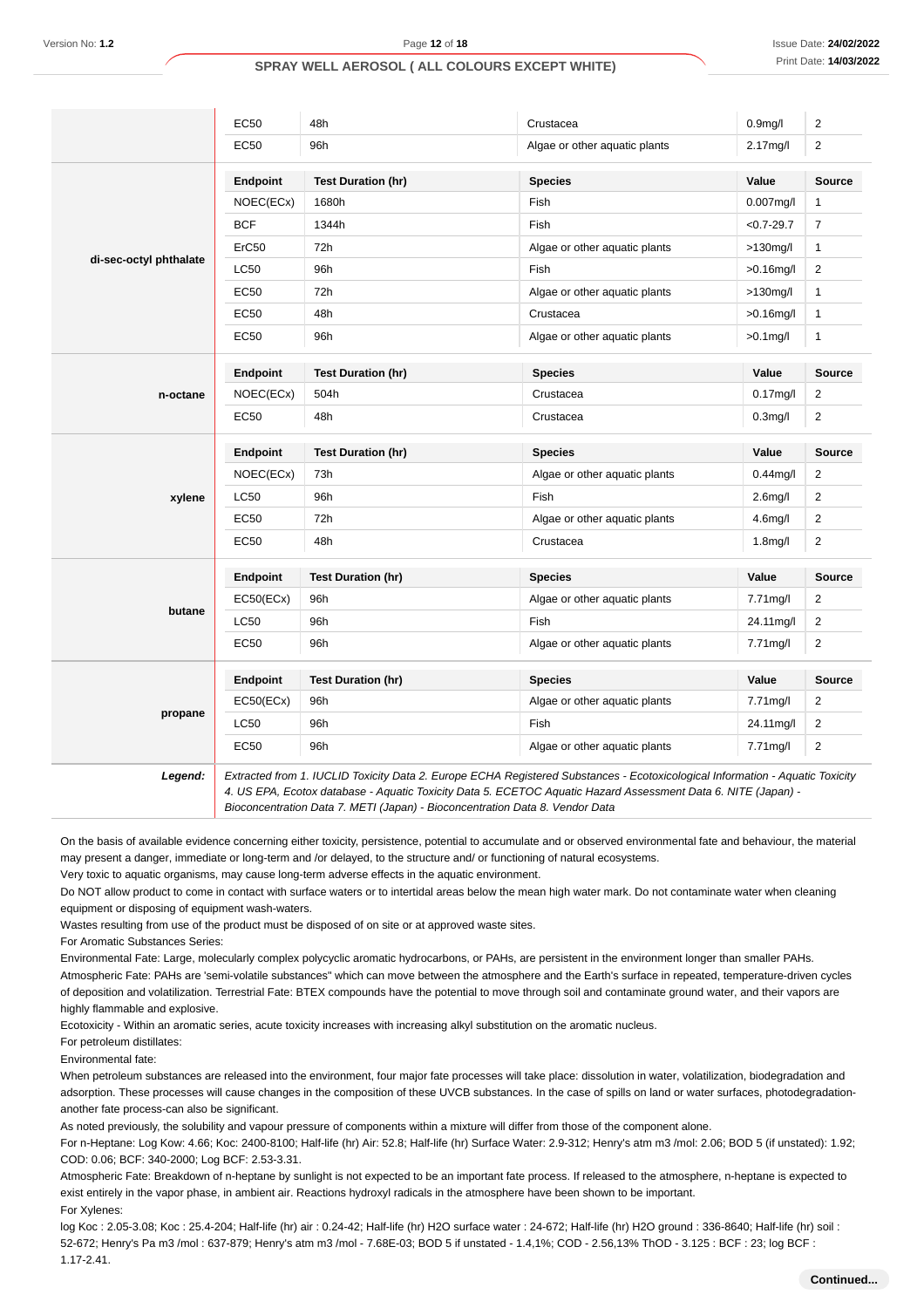|                        | <b>EC50</b>       | 48h                       | Crustacea                     | 0.9 <sub>m</sub> g/l | $\overline{2}$ |
|------------------------|-------------------|---------------------------|-------------------------------|----------------------|----------------|
|                        | <b>EC50</b>       | 96h                       | Algae or other aquatic plants | 2.17mg/l             | $\overline{2}$ |
|                        | Endpoint          | <b>Test Duration (hr)</b> | <b>Species</b>                | Value                | Source         |
|                        | NOEC(ECx)         | 1680h                     | Fish                          | $0.007$ mg/l         | $\mathbf{1}$   |
|                        | <b>BCF</b>        | 1344h                     | Fish                          | $< 0.7 - 29.7$       | $\overline{7}$ |
|                        | ErC50             | 72h                       | Algae or other aquatic plants | $>130$ mg/l          | $\mathbf{1}$   |
| di-sec-octyl phthalate | LC50              | 96h                       | Fish                          | $>0.16$ mg/l         | $\overline{2}$ |
|                        | <b>EC50</b>       | 72h                       | Algae or other aquatic plants | $>130$ mg/l          | $\mathbf{1}$   |
|                        | <b>EC50</b>       | 48h                       | Crustacea                     | $>0.16$ mg/l         | $\mathbf{1}$   |
|                        | <b>EC50</b>       | 96h                       | Algae or other aquatic plants | $>0.1$ mg/l          | $\mathbf{1}$   |
|                        | Endpoint          | <b>Test Duration (hr)</b> | <b>Species</b>                | Value                | <b>Source</b>  |
| n-octane               | NOEC(ECx)         | 504h                      | Crustacea                     | $0.17$ mg/l          | $\overline{2}$ |
|                        | <b>EC50</b>       | 48h                       | Crustacea                     | $0.3$ mg/l           | $\overline{2}$ |
|                        | Endpoint          | <b>Test Duration (hr)</b> | <b>Species</b>                | Value                | Source         |
|                        | NOEC(ECx)         | 73h                       | Algae or other aquatic plants | $0.44$ mg/l          | 2              |
| xylene                 | <b>LC50</b>       | 96h                       | Fish                          | 2.6 <sub>m</sub> g/l | $\mathbf{2}$   |
|                        | <b>EC50</b>       | 72h                       | Algae or other aquatic plants | $4.6$ mg/l           | $\overline{2}$ |
|                        | <b>EC50</b>       | 48h                       | Crustacea                     | 1.8 <sub>m</sub> g/l | $\overline{2}$ |
|                        | Endpoint          | <b>Test Duration (hr)</b> | <b>Species</b>                | Value                | Source         |
|                        | EC50(ECx)         | 96h                       | Algae or other aquatic plants | 7.71mg/l             | $\overline{2}$ |
| butane                 | L <sub>C</sub> 50 | 96h                       | Fish                          | 24.11mg/l            | $\overline{2}$ |
|                        | <b>EC50</b>       | 96h                       | Algae or other aquatic plants | 7.71mg/l             | $\overline{2}$ |
|                        | Endpoint          | <b>Test Duration (hr)</b> | <b>Species</b>                | Value                | <b>Source</b>  |
|                        | EC50(ECx)         | 96h                       | Algae or other aquatic plants | 7.71mg/l             | $\overline{2}$ |
| propane                | LC50              | 96h                       | Fish                          | 24.11mg/l            | $\overline{2}$ |
|                        | <b>EC50</b>       | 96h                       | Algae or other aquatic plants | $7.71$ mg/l          | $\overline{2}$ |
|                        |                   |                           |                               |                      |                |

**Legend:** Extracted from 1. IUCLID Toxicity Data 2. Europe ECHA Registered Substances - Ecotoxicological Information - Aquatic Toxicity 4. US EPA, Ecotox database - Aquatic Toxicity Data 5. ECETOC Aquatic Hazard Assessment Data 6. NITE (Japan) - Bioconcentration Data 7. METI (Japan) - Bioconcentration Data 8. Vendor Data

On the basis of available evidence concerning either toxicity, persistence, potential to accumulate and or observed environmental fate and behaviour, the material may present a danger, immediate or long-term and /or delayed, to the structure and/ or functioning of natural ecosystems.

Very toxic to aquatic organisms, may cause long-term adverse effects in the aquatic environment.

Do NOT allow product to come in contact with surface waters or to intertidal areas below the mean high water mark. Do not contaminate water when cleaning equipment or disposing of equipment wash-waters.

Wastes resulting from use of the product must be disposed of on site or at approved waste sites.

For Aromatic Substances Series:

Environmental Fate: Large, molecularly complex polycyclic aromatic hydrocarbons, or PAHs, are persistent in the environment longer than smaller PAHs.

Atmospheric Fate: PAHs are 'semi-volatile substances" which can move between the atmosphere and the Earth's surface in repeated, temperature-driven cycles of deposition and volatilization. Terrestrial Fate: BTEX compounds have the potential to move through soil and contaminate ground water, and their vapors are highly flammable and explosive.

Ecotoxicity - Within an aromatic series, acute toxicity increases with increasing alkyl substitution on the aromatic nucleus.

For petroleum distillates:

Environmental fate:

When petroleum substances are released into the environment, four major fate processes will take place: dissolution in water, volatilization, biodegradation and adsorption. These processes will cause changes in the composition of these UVCB substances. In the case of spills on land or water surfaces, photodegradationanother fate process-can also be significant.

As noted previously, the solubility and vapour pressure of components within a mixture will differ from those of the component alone.

For n-Heptane: Log Kow: 4.66; Koc: 2400-8100; Half-life (hr) Air: 52.8; Half-life (hr) Surface Water: 2.9-312; Henry's atm m3 /mol: 2.06; BOD 5 (if unstated): 1.92; COD: 0.06; BCF: 340-2000; Log BCF: 2.53-3.31.

Atmospheric Fate: Breakdown of n-heptane by sunlight is not expected to be an important fate process. If released to the atmosphere, n-heptane is expected to exist entirely in the vapor phase, in ambient air. Reactions hydroxyl radicals in the atmosphere have been shown to be important. For Xylenes:

log Koc : 2.05-3.08; Koc : 25.4-204; Half-life (hr) air : 0.24-42; Half-life (hr) H2O surface water : 24-672; Half-life (hr) H2O ground : 336-8640; Half-life (hr) soil : 52-672; Henry's Pa m3 /mol : 637-879; Henry's atm m3 /mol - 7.68E-03; BOD 5 if unstated - 1.4,1%; COD - 2.56,13% ThOD - 3.125 : BCF : 23; log BCF : 1.17-2.41.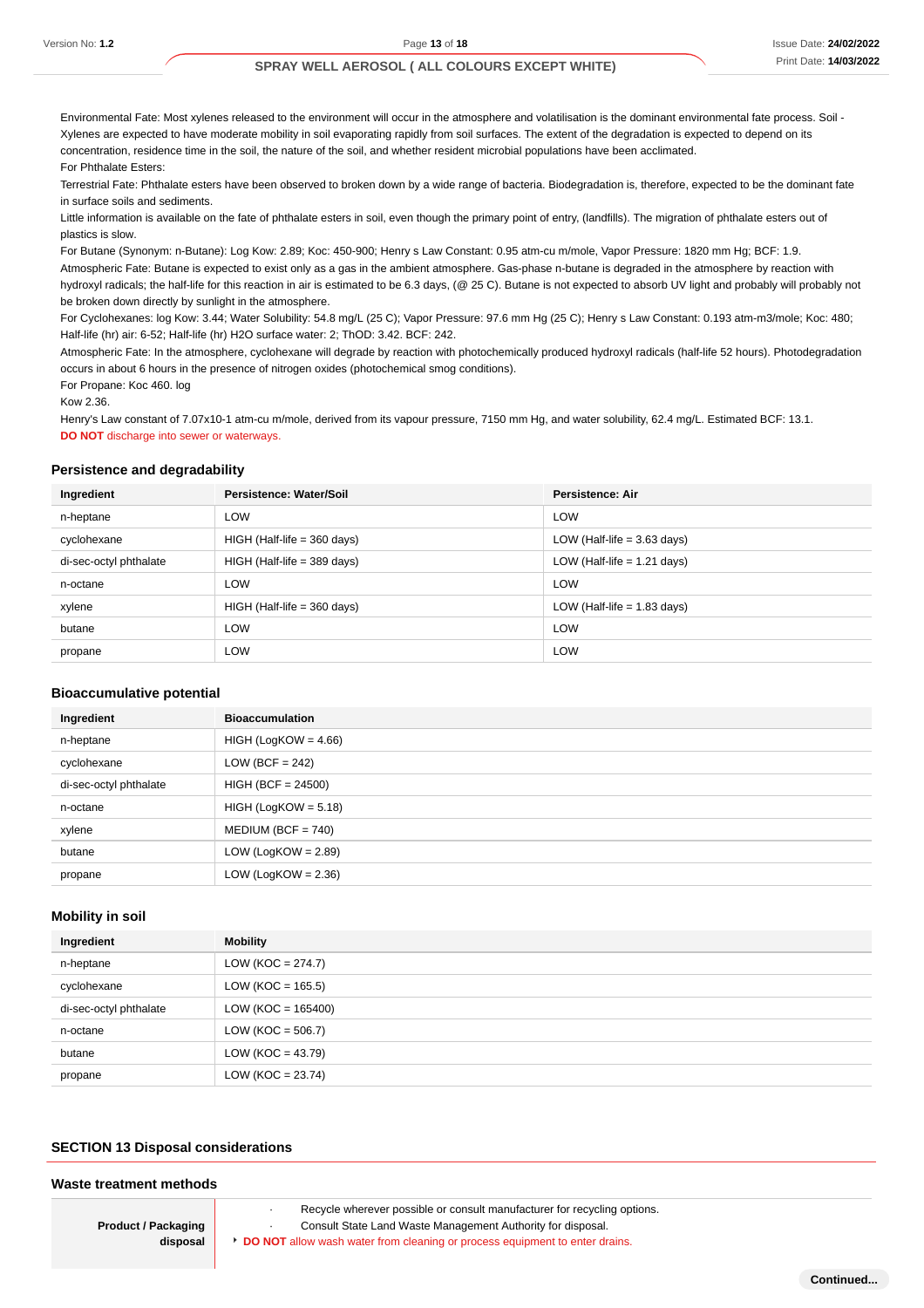Environmental Fate: Most xylenes released to the environment will occur in the atmosphere and volatilisation is the dominant environmental fate process. Soil - Xylenes are expected to have moderate mobility in soil evaporating rapidly from soil surfaces. The extent of the degradation is expected to depend on its concentration, residence time in the soil, the nature of the soil, and whether resident microbial populations have been acclimated. For Phthalate Esters:

Terrestrial Fate: Phthalate esters have been observed to broken down by a wide range of bacteria. Biodegradation is, therefore, expected to be the dominant fate in surface soils and sediments.

Little information is available on the fate of phthalate esters in soil, even though the primary point of entry, (landfills). The migration of phthalate esters out of plastics is slow.

For Butane (Synonym: n-Butane): Log Kow: 2.89; Koc: 450-900; Henry s Law Constant: 0.95 atm-cu m/mole, Vapor Pressure: 1820 mm Hg; BCF: 1.9.

Atmospheric Fate: Butane is expected to exist only as a gas in the ambient atmosphere. Gas-phase n-butane is degraded in the atmosphere by reaction with hydroxyl radicals; the half-life for this reaction in air is estimated to be 6.3 days, (@ 25 C). Butane is not expected to absorb UV light and probably will probably not be broken down directly by sunlight in the atmosphere.

For Cyclohexanes: log Kow: 3.44; Water Solubility: 54.8 mg/L (25 C); Vapor Pressure: 97.6 mm Hg (25 C); Henry s Law Constant: 0.193 atm-m3/mole; Koc: 480; Half-life (hr) air: 6-52; Half-life (hr) H2O surface water: 2; ThOD: 3.42. BCF: 242.

Atmospheric Fate: In the atmosphere, cyclohexane will degrade by reaction with photochemically produced hydroxyl radicals (half-life 52 hours). Photodegradation occurs in about 6 hours in the presence of nitrogen oxides (photochemical smog conditions).

For Propane: Koc 460. log

Kow 2.36.

Henry's Law constant of 7.07x10-1 atm-cu m/mole, derived from its vapour pressure, 7150 mm Hg, and water solubility, 62.4 mg/L. Estimated BCF: 13.1. **DO NOT** discharge into sewer or waterways.

#### **Persistence and degradability**

| Ingredient             | Persistence: Water/Soil       | <b>Persistence: Air</b>       |
|------------------------|-------------------------------|-------------------------------|
| n-heptane              | <b>LOW</b>                    | <b>LOW</b>                    |
| cyclohexane            | $HIGH$ (Half-life = 360 days) | LOW (Half-life $=$ 3.63 days) |
| di-sec-octyl phthalate | $HIGH$ (Half-life = 389 days) | LOW (Half-life $= 1.21$ days) |
| n-octane               | LOW                           | <b>LOW</b>                    |
| xylene                 | $HIGH$ (Half-life = 360 days) | LOW (Half-life $= 1.83$ days) |
| butane                 | LOW                           | <b>LOW</b>                    |
| propane                | LOW                           | <b>LOW</b>                    |

#### **Bioaccumulative potential**

| Ingredient             | <b>Bioaccumulation</b> |
|------------------------|------------------------|
| n-heptane              | $HIGH (LogKOW = 4.66)$ |
| cyclohexane            | LOW (BCF = $242$ )     |
| di-sec-octyl phthalate | $HIGH (BCF = 24500)$   |
| n-octane               | $HIGH (LogKOW = 5.18)$ |
| xylene                 | $MEDIUM (BCF = 740)$   |
| butane                 | LOW (LogKOW = $2.89$ ) |
| propane                | LOW (LogKOW = $2.36$ ) |

#### **Mobility in soil**

| Ingredient             | Mobility             |
|------------------------|----------------------|
| n-heptane              | $LOW (KOC = 274.7)$  |
| cyclohexane            | $LOW (KOC = 165.5)$  |
| di-sec-octyl phthalate | $LOW (KOC = 165400)$ |
| n-octane               | $LOW (KOC = 506.7)$  |
| butane                 | $LOW (KOC = 43.79)$  |
| propane                | $LOW (KOC = 23.74)$  |

#### **SECTION 13 Disposal considerations**

#### **Waste treatment methods**

**Product / Packaging disposal**

Recycle wherever possible or consult manufacturer for recycling options. Consult State Land Waste Management Authority for disposal. **DO NOT** allow wash water from cleaning or process equipment to enter drains.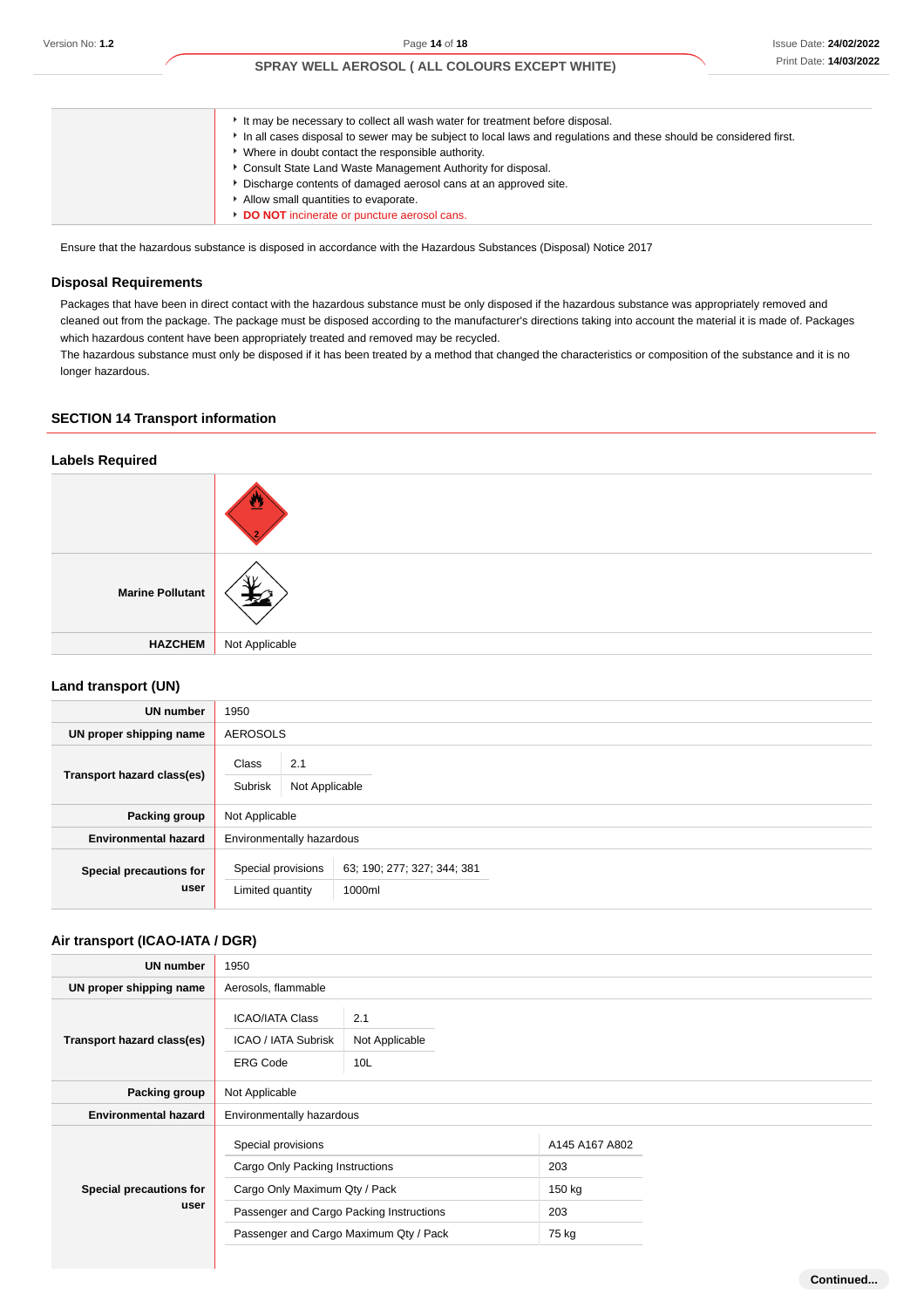| It may be necessary to collect all wash water for treatment before disposal.                                      |
|-------------------------------------------------------------------------------------------------------------------|
| In all cases disposal to sewer may be subject to local laws and regulations and these should be considered first. |
| • Where in doubt contact the responsible authority.                                                               |
| Consult State Land Waste Management Authority for disposal.                                                       |
| Discharge contents of damaged aerosol cans at an approved site.                                                   |
| Allow small quantities to evaporate.                                                                              |
| DO NOT incinerate or puncture aerosol cans.                                                                       |

Ensure that the hazardous substance is disposed in accordance with the Hazardous Substances (Disposal) Notice 2017

#### **Disposal Requirements**

Packages that have been in direct contact with the hazardous substance must be only disposed if the hazardous substance was appropriately removed and cleaned out from the package. The package must be disposed according to the manufacturer's directions taking into account the material it is made of. Packages which hazardous content have been appropriately treated and removed may be recycled.

The hazardous substance must only be disposed if it has been treated by a method that changed the characteristics or composition of the substance and it is no longer hazardous.

#### **SECTION 14 Transport information**

#### **Labels Required**

| <b>Marine Pollutant</b> |                |
|-------------------------|----------------|
| <b>HAZCHEM</b>          | Not Applicable |

#### **Land transport (UN)**

| <b>UN number</b>                | 1950                                                                            |
|---------------------------------|---------------------------------------------------------------------------------|
| UN proper shipping name         | AEROSOLS                                                                        |
| Transport hazard class(es)      | 2.1<br>Class<br>Subrisk<br>Not Applicable                                       |
| Packing group                   | Not Applicable                                                                  |
| <b>Environmental hazard</b>     | Environmentally hazardous                                                       |
| Special precautions for<br>user | Special provisions<br>63, 190, 277, 327, 344, 381<br>Limited quantity<br>1000ml |

## **Air transport (ICAO-IATA / DGR)**

| <b>UN number</b>                | 1950                                                                                                    |  |                |  |  |
|---------------------------------|---------------------------------------------------------------------------------------------------------|--|----------------|--|--|
| UN proper shipping name         | Aerosols, flammable                                                                                     |  |                |  |  |
| Transport hazard class(es)      | <b>ICAO/IATA Class</b><br>2.1<br><b>ICAO / IATA Subrisk</b><br>Not Applicable<br>10L<br><b>ERG Code</b> |  |                |  |  |
| Packing group                   | Not Applicable                                                                                          |  |                |  |  |
| <b>Environmental hazard</b>     | Environmentally hazardous                                                                               |  |                |  |  |
|                                 | Special provisions                                                                                      |  | A145 A167 A802 |  |  |
| Special precautions for<br>user | Cargo Only Packing Instructions                                                                         |  | 203            |  |  |
|                                 | Cargo Only Maximum Qty / Pack                                                                           |  | 150 kg         |  |  |
|                                 | Passenger and Cargo Packing Instructions                                                                |  | 203            |  |  |
|                                 | Passenger and Cargo Maximum Qty / Pack                                                                  |  | 75 kg          |  |  |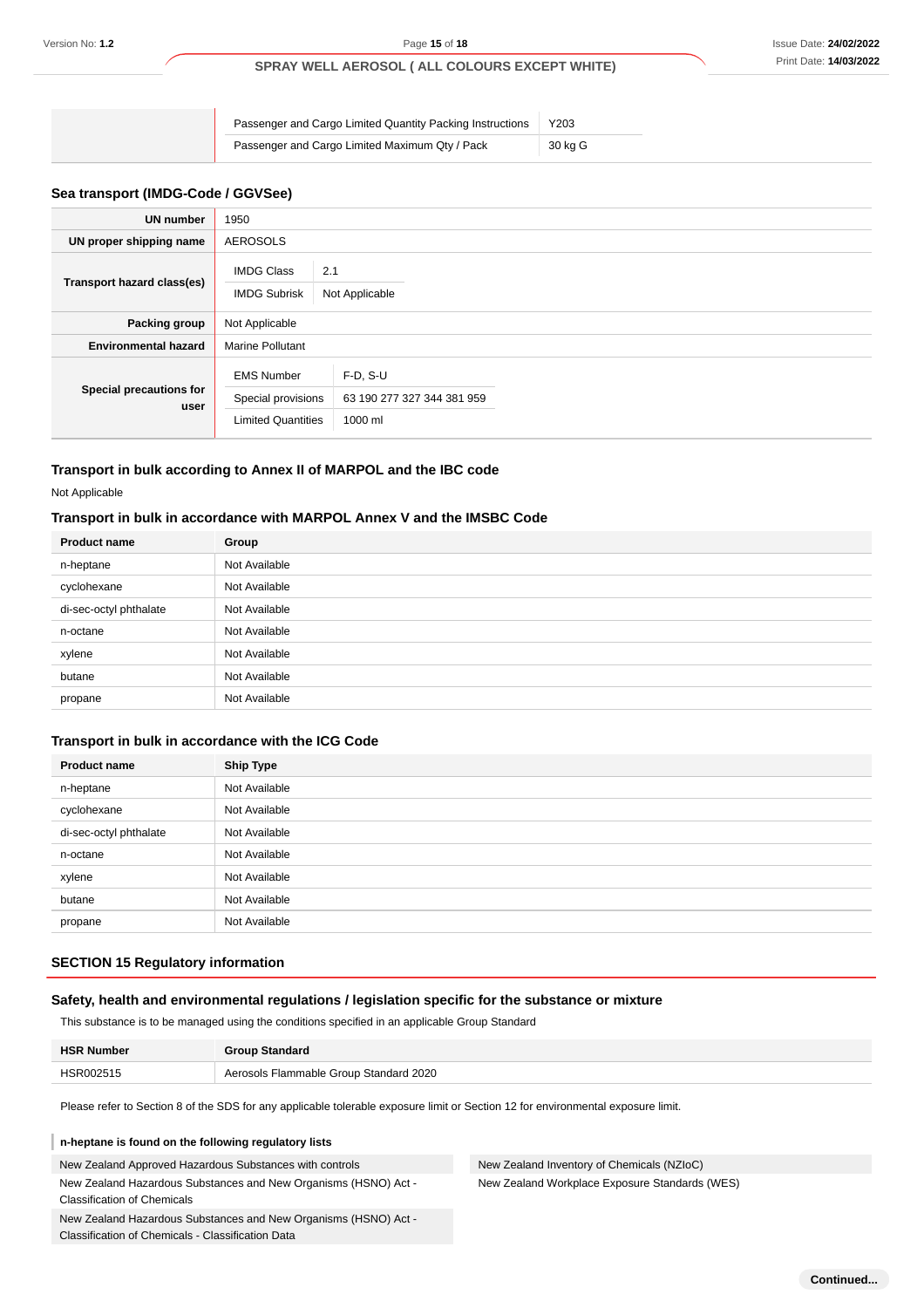| Passenger and Cargo Limited Quantity Packing Instructions | Y203    |
|-----------------------------------------------------------|---------|
| Passenger and Cargo Limited Maximum Qty / Pack            | 30 kg G |

## **Sea transport (IMDG-Code / GGVSee)**

| <b>UN number</b>                | 1950                                                                 |                                                     |  |
|---------------------------------|----------------------------------------------------------------------|-----------------------------------------------------|--|
| UN proper shipping name         | <b>AEROSOLS</b>                                                      |                                                     |  |
| Transport hazard class(es)      | <b>IMDG Class</b><br><b>IMDG Subrisk</b>                             | 2.1<br>Not Applicable                               |  |
| Packing group                   | Not Applicable                                                       |                                                     |  |
| <b>Environmental hazard</b>     | <b>Marine Pollutant</b>                                              |                                                     |  |
| Special precautions for<br>user | <b>EMS Number</b><br>Special provisions<br><b>Limited Quantities</b> | $F-D, S-U$<br>63 190 277 327 344 381 959<br>1000 ml |  |

## **Transport in bulk according to Annex II of MARPOL and the IBC code**

Not Applicable

## **Transport in bulk in accordance with MARPOL Annex V and the IMSBC Code**

| <b>Product name</b>    | Group         |
|------------------------|---------------|
| n-heptane              | Not Available |
| cyclohexane            | Not Available |
| di-sec-octyl phthalate | Not Available |
| n-octane               | Not Available |
| xylene                 | Not Available |
| butane                 | Not Available |
| propane                | Not Available |

#### **Transport in bulk in accordance with the ICG Code**

| <b>Product name</b>    | <b>Ship Type</b> |
|------------------------|------------------|
| n-heptane              | Not Available    |
| cyclohexane            | Not Available    |
| di-sec-octyl phthalate | Not Available    |
| n-octane               | Not Available    |
| xylene                 | Not Available    |
| butane                 | Not Available    |
| propane                | Not Available    |

#### **SECTION 15 Regulatory information**

#### **Safety, health and environmental regulations / legislation specific for the substance or mixture**

This substance is to be managed using the conditions specified in an applicable Group Standard

| <b>HSR Number</b> | <b>Group Standard</b>                  |
|-------------------|----------------------------------------|
| HSR002515         | Aerosols Flammable Group Standard 2020 |

Please refer to Section 8 of the SDS for any applicable tolerable exposure limit or Section 12 for environmental exposure limit.

#### **n-heptane is found on the following regulatory lists**

New Zealand Approved Hazardous Substances with controls New Zealand Hazardous Substances and New Organisms (HSNO) Act - Classification of Chemicals

New Zealand Hazardous Substances and New Organisms (HSNO) Act - Classification of Chemicals - Classification Data

New Zealand Inventory of Chemicals (NZIoC) New Zealand Workplace Exposure Standards (WES)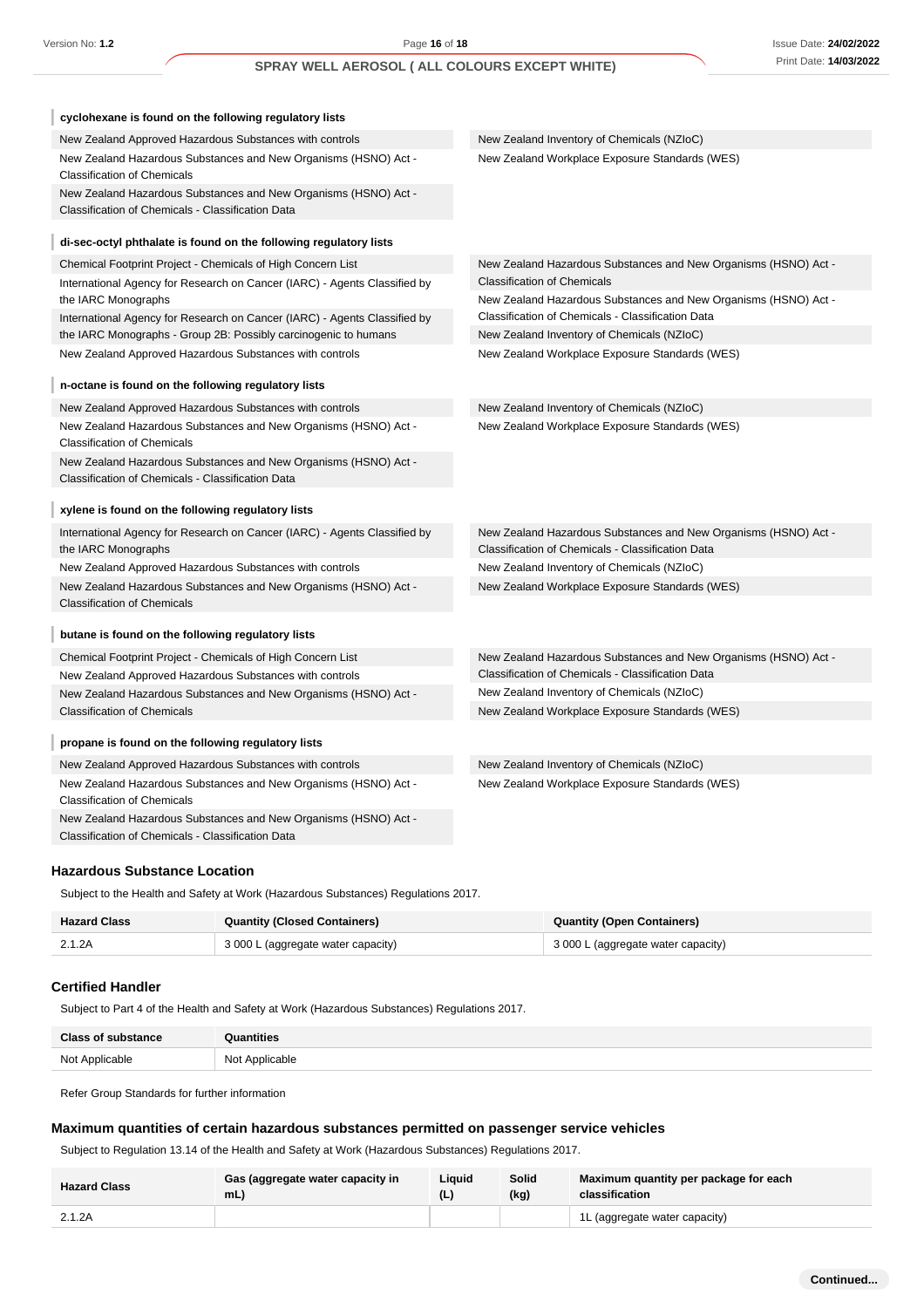$\mathbf{r}$ 

## **SPRAY WELL AEROSOL ( ALL COLOURS EXCEPT WHITE)**

| cyclohexane is found on the following regulatory lists                                                               |                                                                                                                      |
|----------------------------------------------------------------------------------------------------------------------|----------------------------------------------------------------------------------------------------------------------|
| New Zealand Approved Hazardous Substances with controls                                                              | New Zealand Inventory of Chemicals (NZIoC)                                                                           |
| New Zealand Hazardous Substances and New Organisms (HSNO) Act -<br><b>Classification of Chemicals</b>                | New Zealand Workplace Exposure Standards (WES)                                                                       |
| New Zealand Hazardous Substances and New Organisms (HSNO) Act -<br>Classification of Chemicals - Classification Data |                                                                                                                      |
| di-sec-octyl phthalate is found on the following regulatory lists                                                    |                                                                                                                      |
| Chemical Footprint Project - Chemicals of High Concern List                                                          | New Zealand Hazardous Substances and New Organisms (HSNO) Act -                                                      |
| International Agency for Research on Cancer (IARC) - Agents Classified by                                            | <b>Classification of Chemicals</b>                                                                                   |
| the IARC Monographs                                                                                                  | New Zealand Hazardous Substances and New Organisms (HSNO) Act -                                                      |
| International Agency for Research on Cancer (IARC) - Agents Classified by                                            | Classification of Chemicals - Classification Data                                                                    |
| the IARC Monographs - Group 2B: Possibly carcinogenic to humans                                                      | New Zealand Inventory of Chemicals (NZIoC)                                                                           |
| New Zealand Approved Hazardous Substances with controls                                                              | New Zealand Workplace Exposure Standards (WES)                                                                       |
| n-octane is found on the following regulatory lists                                                                  |                                                                                                                      |
| New Zealand Approved Hazardous Substances with controls                                                              | New Zealand Inventory of Chemicals (NZIoC)                                                                           |
| New Zealand Hazardous Substances and New Organisms (HSNO) Act -<br><b>Classification of Chemicals</b>                | New Zealand Workplace Exposure Standards (WES)                                                                       |
| New Zealand Hazardous Substances and New Organisms (HSNO) Act -                                                      |                                                                                                                      |
| Classification of Chemicals - Classification Data                                                                    |                                                                                                                      |
| xylene is found on the following regulatory lists                                                                    |                                                                                                                      |
| International Agency for Research on Cancer (IARC) - Agents Classified by<br>the IARC Monographs                     | New Zealand Hazardous Substances and New Organisms (HSNO) Act -<br>Classification of Chemicals - Classification Data |
| New Zealand Approved Hazardous Substances with controls                                                              | New Zealand Inventory of Chemicals (NZIoC)                                                                           |
| New Zealand Hazardous Substances and New Organisms (HSNO) Act -                                                      | New Zealand Workplace Exposure Standards (WES)                                                                       |
| <b>Classification of Chemicals</b>                                                                                   |                                                                                                                      |
| butane is found on the following regulatory lists                                                                    |                                                                                                                      |
| Chemical Footprint Project - Chemicals of High Concern List                                                          | New Zealand Hazardous Substances and New Organisms (HSNO) Act -                                                      |
| New Zealand Approved Hazardous Substances with controls                                                              | Classification of Chemicals - Classification Data                                                                    |
| New Zealand Hazardous Substances and New Organisms (HSNO) Act -                                                      | New Zealand Inventory of Chemicals (NZIoC)                                                                           |
| <b>Classification of Chemicals</b>                                                                                   | New Zealand Workplace Exposure Standards (WES)                                                                       |
| propane is found on the following regulatory lists                                                                   |                                                                                                                      |
| New Zealand Approved Hazardous Substances with controls                                                              | New Zealand Inventory of Chemicals (NZIoC)                                                                           |
| New Zealand Hazardous Substances and New Organisms (HSNO) Act -                                                      | New Zealand Workplace Exposure Standards (WES)                                                                       |
| <b>Classification of Chemicals</b>                                                                                   |                                                                                                                      |
| New Zealand Hazardous Substances and New Organisms (HSNO) Act -                                                      |                                                                                                                      |
| Classification of Chemicals - Classification Data                                                                    |                                                                                                                      |

#### **Hazardous Substance Location**

Subject to the Health and Safety at Work (Hazardous Substances) Regulations 2017.

| <b>Hazard Class</b> | <b>Quantity (Closed Containers)</b> | <b>Quantity (Open Containers)</b>  |
|---------------------|-------------------------------------|------------------------------------|
| 2.1.2A              | 3 000 L (aggregate water capacity)  | 3 000 L (aggregate water capacity) |

#### **Certified Handler**

Subject to Part 4 of the Health and Safety at Work (Hazardous Substances) Regulations 2017.

| <b>Class of substance</b> | <b>Quantities</b> |
|---------------------------|-------------------|
| Not Applicable            | Not Applicable    |

Refer Group Standards for further information

## **Maximum quantities of certain hazardous substances permitted on passenger service vehicles**

Subject to Regulation 13.14 of the Health and Safety at Work (Hazardous Substances) Regulations 2017.

| <b>Hazard Class</b> | Gas (aggregate water capacity in<br>mL | Liauid | Solid<br>(kg) | Maximum quantity per package for each<br>classification |
|---------------------|----------------------------------------|--------|---------------|---------------------------------------------------------|
| 2.1.2A              |                                        |        |               | 1L (aggregate water capacity)                           |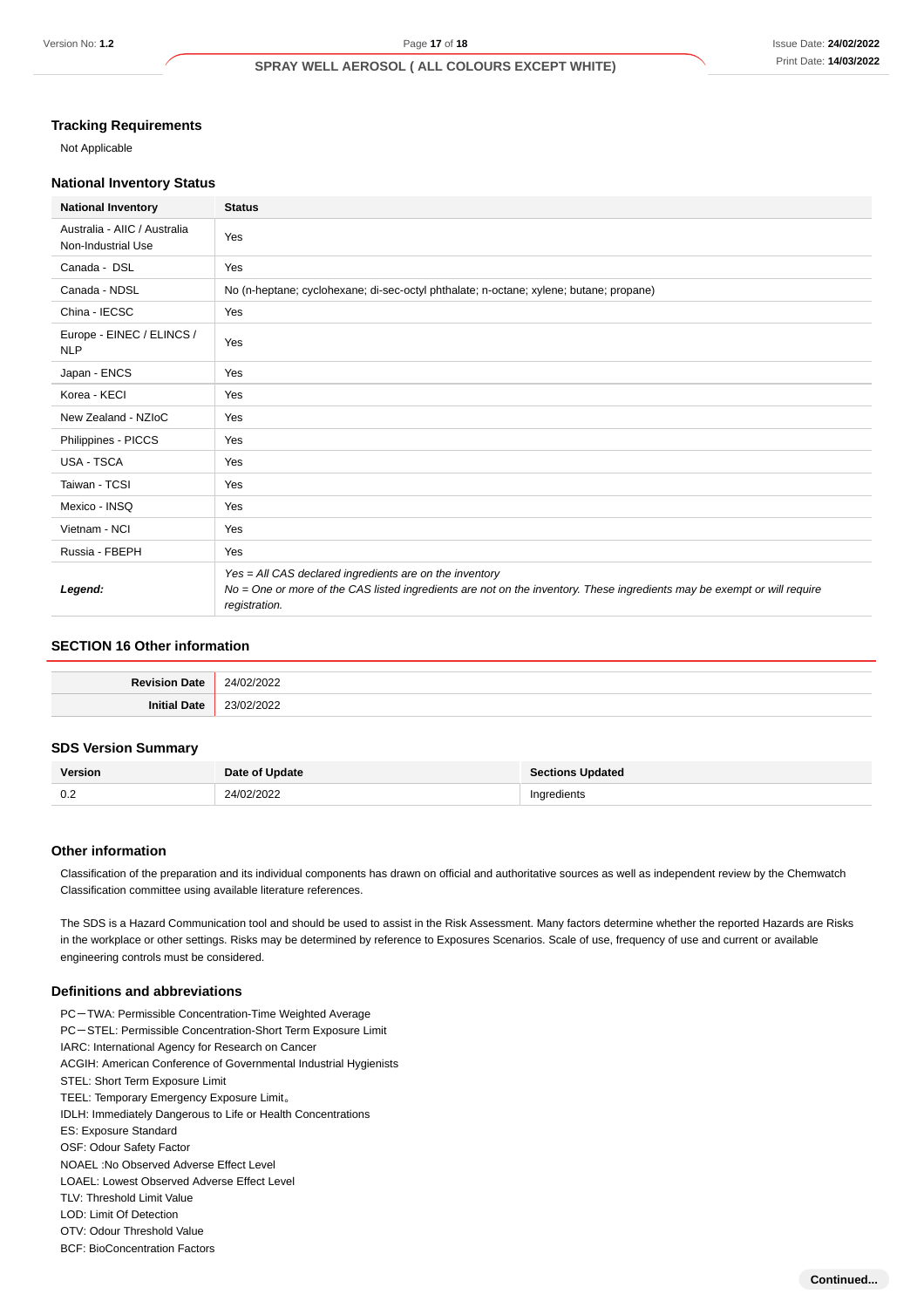## **Tracking Requirements**

Not Applicable

#### **National Inventory Status**

| <b>National Inventory</b>                          | <b>Status</b>                                                                                                                                                                                        |  |
|----------------------------------------------------|------------------------------------------------------------------------------------------------------------------------------------------------------------------------------------------------------|--|
| Australia - AIIC / Australia<br>Non-Industrial Use | Yes                                                                                                                                                                                                  |  |
| Canada - DSL                                       | Yes                                                                                                                                                                                                  |  |
| Canada - NDSL                                      | No (n-heptane; cyclohexane; di-sec-octyl phthalate; n-octane; xylene; butane; propane)                                                                                                               |  |
| China - IECSC                                      | Yes                                                                                                                                                                                                  |  |
| Europe - EINEC / ELINCS /<br><b>NLP</b>            | Yes                                                                                                                                                                                                  |  |
| Japan - ENCS                                       | Yes                                                                                                                                                                                                  |  |
| Korea - KECI                                       | Yes                                                                                                                                                                                                  |  |
| New Zealand - NZIoC                                | Yes                                                                                                                                                                                                  |  |
| Philippines - PICCS                                | Yes                                                                                                                                                                                                  |  |
| <b>USA - TSCA</b>                                  | Yes                                                                                                                                                                                                  |  |
| Taiwan - TCSI                                      | Yes                                                                                                                                                                                                  |  |
| Mexico - INSQ                                      | Yes                                                                                                                                                                                                  |  |
| Vietnam - NCI                                      | Yes                                                                                                                                                                                                  |  |
| Russia - FBEPH                                     | Yes                                                                                                                                                                                                  |  |
| Legend:                                            | Yes = All CAS declared ingredients are on the inventory<br>No = One or more of the CAS listed ingredients are not on the inventory. These ingredients may be exempt or will require<br>registration. |  |

## **SECTION 16 Other information**

| . |
|---|

#### **SDS Version Summary**

| <b>Version</b> | Date of Update | <b>Sections Updated</b> |
|----------------|----------------|-------------------------|
| $\cap$<br>v.z  | 24/02/2022     | Ingredients             |

## **Other information**

Classification of the preparation and its individual components has drawn on official and authoritative sources as well as independent review by the Chemwatch Classification committee using available literature references.

The SDS is a Hazard Communication tool and should be used to assist in the Risk Assessment. Many factors determine whether the reported Hazards are Risks in the workplace or other settings. Risks may be determined by reference to Exposures Scenarios. Scale of use, frequency of use and current or available engineering controls must be considered.

#### **Definitions and abbreviations**

- PC-TWA: Permissible Concentration-Time Weighted Average PC-STEL: Permissible Concentration-Short Term Exposure Limit IARC: International Agency for Research on Cancer
- ACGIH: American Conference of Governmental Industrial Hygienists
- STEL: Short Term Exposure Limit
- TEEL: Temporary Emergency Exposure Limit。
- IDLH: Immediately Dangerous to Life or Health Concentrations
- ES: Exposure Standard
- OSF: Odour Safety Factor
- NOAEL :No Observed Adverse Effect Level
- LOAEL: Lowest Observed Adverse Effect Level
- TLV: Threshold Limit Value
- LOD: Limit Of Detection
- OTV: Odour Threshold Value
- BCF: BioConcentration Factors